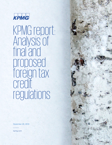

KPMG report: Analysis of final and proposed foreign tax credit regulations

December 20, 2019

kpmg.com

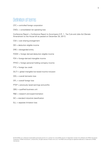# Definition of terms

- CFC = controlled foreign corporation
- CNOL = consolidated net operating loss

Conference Report = Conference Report to Accompany H.R. 1 - Tax Cuts and Jobs Act [Senate Amendment to the House bill as passed on December 20, 2017]

- CSA = cost sharing arrangement
- DEI = deduction eligible income
- $DRE =$  disregarded entity
- FDDEI = foreign derived deduction eligible income
- FDII = foreign-derived intangible income
- FPHCI = foreign personal holding company income
- FTC = foreign tax credit
- GILTI = global intangible low-taxed income inclusion
- ODL = overall domestic loss
- OFL = overall foreign loss
- PTEP = previously taxed earnings and profits
- $QBU =$  qualified business unit
- R&E = research and experimentation
- SIC = standard industrial classification
- SLL = separate limitation loss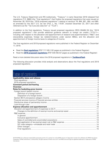The U.S. Treasury Department and IRS (collectively, "Treasury") in early December 2019 released final regulations (T.D. 9882) (the "final regulations") that finalize the proposed regulations that were issued on November 28, 2018 (the "2018 proposed regulations") relating to sections 78, 864, 901, 904, and 960, as amended by the 2017 U.S. tax law (Pub. L. No. 115-97, enacted December 22, 2017 and often referred to as the "Tax Cuts and Jobs Act" or "TCJA").

In addition to the final regulations, Treasury issued proposed regulations (REG-105495-19) (the "2019 proposed regulations") that provide additional guidance relevant to foreign tax credits ("FTCs") including with respect to the allocation and apportionment of research and experimentation ("R&E") and stewardship expenses, foreign tax redeterminations under section 905(c), and the allocation and apportionment of foreign income taxes to categories of income.

The final regulations and 2019 proposed regulations were published in the Federal Register on December 17, 2019.

- Read the **[final regulations](https://www.govinfo.gov/content/pkg/FR-2019-12-17/pdf/2019-24848.pdf)** [PDF 717 KB] (102 pages as published in the Federal Register)
- Read the **[2019 proposed regulations](https://www.govinfo.gov/content/pkg/FR-2019-12-17/pdf/2019-24847.pdf)** [PDF 545 KB] (57 pages as published in the Federal Register)

Read a more detailed discussion about the 2018 proposed regulations in **[TaxNewsFlash](https://home.kpmg/us/en/home/insights/2018/11/tnf-kpmg-report-initial-impressions-foreign-tax-credit-proposed-regulations.html)**.

The following discussion provides initial analysis and observations about the final regulations and 2019 proposed regulations.

# Table of contents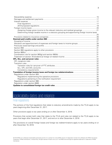| Assigning foreign gross income to the relevant statutory and residual groupings21                |  |
|--------------------------------------------------------------------------------------------------|--|
| Determining foreign taxable income in a statutory grouping and apportioning foreign income taxes |  |
|                                                                                                  |  |
|                                                                                                  |  |
|                                                                                                  |  |
|                                                                                                  |  |
| Allocation and apportionment of expenses and foreign taxes to income groups28                    |  |
|                                                                                                  |  |
|                                                                                                  |  |
|                                                                                                  |  |
|                                                                                                  |  |
|                                                                                                  |  |
|                                                                                                  |  |
|                                                                                                  |  |
|                                                                                                  |  |
|                                                                                                  |  |
|                                                                                                  |  |
|                                                                                                  |  |
|                                                                                                  |  |
|                                                                                                  |  |
|                                                                                                  |  |
|                                                                                                  |  |
|                                                                                                  |  |
|                                                                                                  |  |
|                                                                                                  |  |
|                                                                                                  |  |

# <span id="page-3-0"></span>Applicability dates and reliance

### <span id="page-3-1"></span>Final regulations

The portions of the final regulations that relate to statutory amendments made by the TCJA apply to tax years beginning after December 31, 2017.

Other provisions apply to tax years ending on or after December 4, 2018.

Provisions that contain both rules that relate to the TCJA and rules not related to the TCJA apply to tax years that begin after December 31, 2017, and end on or after December 4, 2018.

The provisions on overall foreign losses and foreign tax redeterminations apply to tax years ending on or after December 16, 2019.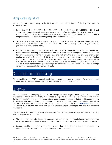# <span id="page-4-0"></span>2019 proposed regulations

Various applicability dates apply to the 2019 proposed regulations. Some of the key provisions are summarized below:

- Prop. Reg. §§ 1.861-8, 1.861-9, 1.861-12, 1.861-14, 1.904-4(c)(7) and (8), 1.904(b)-3, 1.954-1 and 1.954-2 are proposed to apply to tax years that end on or after December 16, 2019. In contrast, Prop. Reg. §§ 1.861-17, 1.861-20 and 1.904-6 (as well as Prop. Reg. §§ 1.704-1(b)(4)(viii)(d)(1) and 1.960-1) are proposed to apply to tax years beginning after December 31, 2019.
- Taxpayers that are on the sales method of apportioning R&E expense for tax years beginning after December 31, 2017, and before January 1, 2020, are permitted to rely on Prop. Reg. § 1.861-17, provided they apply it consistently.
- Regulations proposed under section 905 are generally proposed to apply to foreign tax redeterminations occurring in tax years that end on or after, and to foreign tax redeterminations of foreign corporations occurring in tax years that end with or within a tax year of a U.S. shareholder ending on or after December 16, 2019. In the case of foreign tax redeterminations of foreign corporations, however, Prop. Reg. § 1.905-3 is only proposed to apply to foreign tax determinations that relate to tax years of foreign corporations beginning after December 31, 2017, and Prop. Reg. § 1.905-5 is instead proposed to apply to foreign tax redeterminations that relate to tax years of foreign corporations beginning before January 1, 2018.

# <span id="page-4-1"></span>Comment period and hearing

The preamble to the 2019 proposed regulations includes a number of requests for comment. Any comments or requests for a public hearing must be submitted by February 18, 2020.

# <span id="page-4-2"></span>Overview

In implementing the sweeping changes to the foreign tax credit regime made by the TCJA, the final regulations and 2019 proposed regulations impact all aspects relevant to the calculation of a taxpayer's foreign tax credit. The insights and observations about these regulations included in this document are focused primarily on clarifications of and changes to the 2018 proposed regulations, including regulations on topics that were not included in the 2018 proposed regulations. Read **[TaxNewsFlash](https://home.kpmg/us/en/home/insights/2018/11/tnf-kpmg-report-initial-impressions-foreign-tax-credit-proposed-regulations.html)** (November 2018) for a more detailed discussion of rules that remained largely unchanged from the 2018 proposed regulations.

The discussion in this report generally is ordered according to the steps a taxpayer will take with respect to calculating its foreign tax credit.

- The first section highlights important concepts implemented by these regulations with respect to the initial basketing of a taxpayer's gross income into the four categories provided under section 904(d).
- Second, significant changes with respect to the allocation and apportionment of deductions to determine a taxpayer's net income in each category are discussed.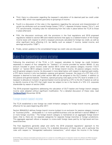- Third, there is a discussion regarding the taxpayer's calculation of its deemed paid tax credit under section 960, which now applies granularly to groupings of income.
- Fourth is a discussion of the rules in the regulations regarding the carryover and characterization of certain tax attributes such as overall foreign losses ("OFLs"), separate limitation losses ("SLLs"), and FTC carryforwards, including rules for transitioning from the rules in place before the TCJA to those in place afterward.
- Fifth, the discussion continues with the provisions in the final regulations and 2019 proposed regulations related to section 905 (and related sections) that apply to a redetermination of the foreign income taxes with respect to which a taxpayer previously calculated its foreign tax credit, as well as other significant items affecting U.S. tax liability such as subpart F income, tested income, and earnings and profits ("E&P").
- Finally, certain updates to the consolidated foreign tax credit rules are discussed.

# <span id="page-5-0"></span>Rules for basketing gross income

Following the enactment of the TCJA, a U.S. taxpayer calculates its foreign tax credit limitation separately in respect of four categories (or "baskets") of income provided by section 904(d): (1) any amount included in gross income under section 951A (other than passive category income) ("GILTI basket" or "section 951A category income"), (2) foreign branch income, (3) passive category income, and (4) general category income. As discussed in more detail below with respect to deemed paid credits, a CFC earns income in only two baskets—passive and general; however, the taxes of a CFC that a U.S. taxpayer is deemed to have paid under section 960 can be assigned to the GILTI basket, in addition to the passive and general baskets. Therefore, special grouping rules apply at the CFC level to enable a U.S. taxpayer to allocate an inclusion of general basket income earned by a CFC to the GILTI basket as well as to identify income of the CFC that might never be subject to tax in the hands of a 10% U.S. corporate shareholder by reason of section 245A.

The 2018 proposed regulations addressing the calculation of GILTI basket and foreign branch category income were adopted without significant modification. For a detailed discussion of these rules, read *[TaxNewsFlash](https://home.kpmg/us/en/home/insights/2018/11/tnf-kpmg-report-initial-impressions-foreign-tax-credit-proposed-regulations.html)* (November 2018).

# <span id="page-5-1"></span>Foreign branch basket income

The TCJA established a new foreign tax credit limitation category for foreign branch income, generally effective for tax years beginning after 2017.

Section 904(d)(2)(J) defines foreign branch income (subject to an exclusion for passive category income) as "business profits … attributable to 1 or more qualified business units (as defined in section 989(a)) in 1 or more foreign countries." The foreign branch category is maintained on an aggregate foreign branch basis—that is, there are not separate categories for separate foreign branches or foreign jurisdictions. This aggregate approach allows a taxpayer to cross-credit foreign taxes paid by its high-taxed and lowtaxed branches.

The final regulations generally adopt and clarify the 2018 proposed regulations' approach to the determination of foreign branch income. For a detailed discussion of these rules, and in particular the rules with respect to "disregarded reallocation transactions," which adjust the income in the foreign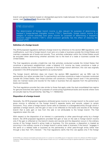branch and general baskets based on disregarded payments made between the branch and its regarded owner, read *[TaxNewsFlash](https://home.kpmg/us/en/home/insights/2018/11/tnf-kpmg-report-initial-impressions-foreign-tax-credit-proposed-regulations.html)* (November 2018).

### KPMG observation

The determination of foreign branch income is also relevant for purposes of determining a taxpayer's foreign-derived intangible income ("FDII"). Specifically, foreign branch income is a category of income excluded from gross income for purposes of determining a taxpayer's deduction eligible income ("DEI"), which exclusion generally has the effect of reducing the taxpayer's FDII.

#### <span id="page-6-0"></span>**Definition of a foreign branch**

The 2018 proposed regulations defined a foreign branch by reference to the section 989 regulations, with modifications, such that a foreign branch must carry on a trade or business outside the United States and maintain a separate set of books and records. Thus, activities undertaken within the United States would be excluded when determining whether activities rise to the level of a trade or business outside the United States.

The final regulations provide a bright-line rule that activities conducted outside the United States that constitute a permanent establishment under a bilateral U.S. income tax treaty constitute a trade or business outside the United States for purposes of the foreign branch definition; this rule was originally proposed in the 2018 proposed regulations as a presumption.

The foreign branch definition does not import the section 989 regulations' per se QBU rule for partnerships, but rather provides that if a partnership's activities constitute a trade or business conducted outside the United States, then those activities will constitute a foreign branch even if the partnership does not maintain books and records for the trade or business that are separate from the partnership's books and records.

The final regulations provide that rules similar to those that apply under the dual consolidated loss regime for genuine branches also apply for purposes of constructing hypothetical books and records where none are actually kept by the partnership. See Reg. § 1.1503(d)-5(c).

#### <span id="page-6-1"></span>**Disposition of a foreign branch**

Generally, the 2018 proposed regulations attributed gross income to a foreign branch to the extent such gross income is reflected on the foreign branch's separate books and records, subject to certain exclusions. Thus, when a foreign branch owner sells its interests in a disregarded entity through which it operates a foreign branch, and the gain or loss is not reflected on the books and records of the foreign branch that is sold, gain or loss from the sale is not attributable to the foreign branch. The final regulations retain this rule.

With respect to the disposition of an interest in a partnership or other pass-through entity by a foreign branch, the 2018 proposed regulations provided that gain or loss on the sale is foreign branch income only if the gain is reflected on the branch's books and records and the disposition occurs in the ordinary course of the foreign branch's active trade or business. For this purpose, a disposition is treated as occurring in the ordinary course of a foreign branch's active trade or business if the branch "engages in the same or a related trade or business as the partnership or other pass-through entity (other than through a less than 10% interest)." The final regulations clarify that this rule applies only if the foreign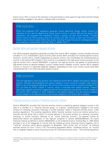branch owns 10% or more of the interests in the partnership or other pass-through entity and the foreign branch directly engages in the same or related trade or business.

# KPMG observation

While the proposed FDII regulations generally would determine foreign branch income by reference to the rules for determining foreign branch income in section 904 and the section 904 regulations, the proposed FDII regulations include a special rule that would include in foreign branch income for FDII purposes (and thus exclude from DEI) income or gain from the direct or indirect sale of branch assets (other than stock), including through the sale of a disregarded entity or an interest in a partnership. See Prop. Reg. § 1.250(b)-1(c)(11).

## <span id="page-7-0"></span>Section 951A and passive category income

The 2018 proposed regulations generally provided that section 951A category income includes amounts included in a U.S. shareholder's gross income under section 951A and does not include passive income. However, income that is initially categorized as passive income may nonetheless be recharacterized as income in the section 951A basket if such income is considered to be high-taxed income pursuant to the high-tax kickout rule in section  $904(d)(2)(F)$ . In general, the high-tax kickout rule applies to recharacterize high-taxed income as general category income, foreign branch category income, section 951A category income, or income in a specified separate category, depending on how such income would have been characterized had it not otherwise been passive income.

# KPMG observation

The final regulations retain the general rules regarding section 951A category and passive category income. Although acknowledging that passive category income would be included under section 951A in rare circumstances (because in the normal course passive income would be included in the U.S. tax base as FPHCI subpart F income, which is excluded from tested income), Treasury specifically rejected comments suggesting that the final regulations provide that income included in the section 951A category is never assigned to the passive category and that passive category income subject to the high-tax kickout rule is never assigned to the section 951A category.

# <span id="page-7-1"></span>Financial services income of financial services entities

Section 904(d)(2)(C) provides that financial services income is treated as general category income in the case of a member of a "financial services group" or a person "predominantly engaged in the active conduct of a banking, insurance, financing, or similar business" (each a "financial services entity" under existing regulations). The existing regulations define financial services income as income earned by a financial services entity that is either (1) income derived in the active conduct of a banking, insurance, financing, or similar business (referred to as "active financing income"); (2) passive income as determined before the application of the high-tax exception in section 904(d)(2)(B)(iii)(II); (3) export financing interest as defined in section 904(d)(2)(G); or (4) incidental income. Existing Reg. § 1.904-4(e)(2) provides a list of 24 categories of income that are treated as active financing income together with a "catch-all" provision which allows taxpayers to designate "[a]ny similar item of income" as financial services income on Form 1118 or 1116. The existing regulations define "incidental income" as "income that is integrally related to active financing income of a financial services entity." The existing regulations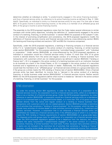determine whether an individual or entity "is predominantly engaged in the active financing business," and thus a financial service entity, by reference to its active financing income as defined in Reg. § 1.904- 4(e)(2). Specifically, an individual or entity is a financial services entity for any year if for that year at least 80% of its gross income is active financing income, or the entity is a member of an affiliated group and 80% of the group's income is active financing income.

The preamble to the 2019 proposed regulations notes that the Code makes several references to similar concepts with similar policy objectives, including the definition of "predominantly engaged in the active conduct of a banking, financing, or similar business" in section 954(h) for purposes of the subpart F rules. In the interest of promoting simplification and consistency, the 2019 proposed regulations modify the definitions of financial services income and financial services entity by cross-referencing section 954(h) (for banking and financing entities) and sections 1297 and 953 (for insurance companies).

Specifically, under the 2019 proposed regulations, a banking or financing company is a financial service entity if it is "predominantly engaged in the active conduct of a banking, financing, or similar business under section 954(h)(2)(B)," for this purpose substituting "controlled foreign corporation" with "individual or corporation." Under section 954(h)(2)(B), as cross-referenced by the 2019 proposed regulations, an individual or corporation would be a financial services entity if either (1) more than 70% of its gross income is derived directly from the active and regular conduct of a lending or finance business from transactions with customers which are not related persons (as defined in section 954(h)(4)) ("lending or finance test"), (2) it is engaged in the active conduct of a banking business and is an institution licensed to do business as a bank in the United States, or (3) it is engaged in the active conduct of a securities business and is registered as a securities broker or dealer. Additionally, the 2019 proposed regulations would treat the members of an "affiliated group" as financial services entities on a group-wide basis only if the group as a whole meets the 70% lending or finance test of section 954(h)(2)(B)(i). Once a financial services entity has been identified, its income that is "derived in the active conduct of a banking, financing, or similar business under section 954(h)(3)(A)(i)" is financial services income. Neither section 954(h) nor the 2019 proposed regulations define what income is treated as "derived in the active conduct of a banking, financing, or similar business" for this purpose.

# KPMG observation

As under the existing section 904 regulations, in order for the income of a corporation to be financial services income, the corporation must be a financial services entity, either on a standalone basis or as a member of a financial services group. Under the 2019 proposed regulations, by crossreference to section 954(h)(2)(B), a corporation would be a financial services entity on a standalone basis if it is a licensed bank or a registered broker-dealer, or if more than 70% of its gross income is derived directly from the active and regular conduct of a lending or finance business from transactions with customers which are not related persons. Section 954(h)(4) provides a restrictive list of activities that constitute a "lending or finance business" for this purpose, which list does not include many activities of a broker-dealer or other activities common to banks (e.g., investment and advisory services). However, a corporation that is not otherwise a financial services entity can nonetheless be treated as a financial services entity if the affiliated group of which it is a member meets the 70% lending or finance requirements of section 954(h)(2)(B)(i) on a group-wide basis. The disparate entity and groups tests for qualification of a corporation as a financial services entity under the 2019 proposed regulations appears to be a departure from the statutory text, which contains the same requirement ("predominantly engaged in the active conduct of a banking, insurance, financing, or similar business") for both tests. Further, because many activities common to banks are not included in the restrictive list of activities that constitute a "lending or finance" business, including broker-dealer activities, a group that derives substantial income from activities

<sup>© 2019</sup> KPMG LLP, a Delaware limited liability partnership and the U.S. member firm of the KPMG network of independent member firms affiliated with KPMG International Cooperative ("KPMG International"), a Swiss entity. All rights reserved. Printed in the U.S.A. The KPMG name and logo are registered trademarks or trademarks of KPMG International.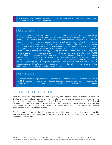other than a lending or finance business does not appear to be able to qualify as a financial services group under the 2019 proposed regulations.

# KPMG observation

As described above, the existing regulations list specific categories of income that are considered to be active financing income for purposes of determining whether income is financial services income, and also provide that such income includes incidental income "integrally related" to such income if the entity otherwise qualifies as a financial services entity. The 2019 proposed regulations would replace these rules with a cross-reference to the description in section 954(h)(3)(A)(i) of income "derived in the active conduct of a banking, financing, or similar business. The legislative history to section 954(h) also includes a list of activities that are intended to constitute "active conduct of a banking, financing, or similar business." The list in the legislative history to section 954(h)(4) appears to be based in large part on the list in existing Reg. § 1.904-4(e)(2), which predates section 954(h) (and which in turn is reflected in legislative history dating back to 1986), but is not identical to that list and also does not explicitly include "incidental income." In any case, this legislative history has not otherwise been incorporated into the Code or regulations (including the 2019 proposed regulations). Thus, in the attempt to create consistency across provisions, the 2019 proposed regulations seem to in fact introduce more uncertainty than clarity into the identification of financial services income.

# KPMG observation

The consequences to taxpayers from the changes to the definition of financial services income in the 2019 proposed regulations may be broader than just foreign tax credit basketing because the financial services income definition is cross-referenced in other provisions (e.g., sections 250 and 864(f)).

### <span id="page-9-0"></span>Distributive share of partnership income

Prior final section 904 regulations provided, in general, that a partner's share of partnership income is treated as passive category income only to the extent that the income earned by the partnership is passive income ("partnership look-through rule"). However, under the prior regulations, if any limited partner or corporate general partner owned less than 10% of the value in the partnership, the partnership look-through rule did not apply and the partner's distributive share of partnership income was entirely characterized as passive category income.

The final regulations remove the 10% ownership threshold for corporate general partners and provide that the partnership look-through rule applies to all general partners (whether individual or corporate) regardless of ownership.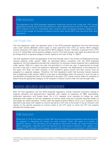The preamble to the 2018 proposed regulations noted that income from a less than 10% owned partnership would be one of the rare instances in which tested income at the CFC level, and thus a GILTI inclusion at the U.S. shareholder level, could be within the passive limitation category. As a result of this change, an inclusion of passive income under section 951A may now be an even rarer occurrence.

# <span id="page-10-0"></span>Look-through rules

The final regulations retain the approach taken in the 2018 proposed regulations that the look-through rules under section 904(d)(3) cannot apply to treat payments from CFCs as section 951A category income, because a CFC does not have section 951A category income. Therefore, a payment from a CFC to its U.S. shareholder will be passive category income if the look-through rules apply and otherwise will be foreign branch or general category income, based on the rules of Reg. § 1.904-4.

The final regulations clarify the application of the look-through rules in the context of disallowed business interest expense under section 163(j). As discussed below, consistent with the 2018 proposed regulations, the final regulations provide that a deduction for business interest expense that is disallowed under section 163(j) for a given tax year, but permitted in a future tax year, is apportioned as though incurred in the year in which the expense is deductible. However, the disallowance of the deduction to the payor CFC does not defer inclusion in the recipient's gross income and that income must be assigned to a separate category. Therefore, the final regulations clarify that business interest expense that is disallowed under section 163(j) for a tax year is nevertheless taken into account in such tax year in the allocation and apportionment of the expense to the payor CFC's gross income solely for purposes of determining the appropriate category of the recipient's interest income under the look-through rules.

# <span id="page-10-1"></span>Expense allocation and apportionment

Both the final regulations and the 2019 proposed regulations include important provisions relating to expense allocation and apportionment, especially with respect to expenses for R&E, stewardship, settlement payments, and foreign taxes. As a U.S. taxpayer must calculate its foreign tax credit separately with respect to the four categories of income, these rules are a critically important aspect of the foreign tax credit calculation. Further, after the repeal of section 902 by TCJA, a U.S. taxpayer now is deemed to pay taxes with respect to income earned by a CFC only to the extent it has an inclusion with respect to the specific grouping of income (made at the CFC level) to which the CFC has properly allocated the foreign taxes.

# KPMG observation

While prior to TCJA the impact of section 861 and the accompanying regulations was primarily felt by taxpayers in calculating the foreign tax credit limitation, these rules apply to a number of operative sections. This importance of the regulations beyond the foreign tax credit limitation has been substantially magnified post-TCJA because the rules became operative with respect to a taxpayer's FDII calculation and taxpayers are generally required to use consistent methodologies

<sup>© 2019</sup> KPMG LLP, a Delaware limited liability partnership and the U.S. member firm of the KPMG network of independent member firms affiliated with KPMG International Cooperative ("KPMG International"), a Swiss entity. All rights reserved. Printed in the U.S.A. The KPMG name and logo are registered trademarks or trademarks of KPMG International.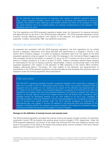for the allocation and apportionment of expenses with respect to different operative sections. Thus, where regulatory flexibility exists with respect to allocating and apportioning a particular expense, the positive impact selecting a permissible method may have on the taxpayer's foreign tax credit limitation has to be weighed against any adverse consequences on the taxpayer's FDII calculation and vice versa.

The final regulations and 2019 proposed regulations largely retain the framework for expense allocation and apportionment as set forth in the 2018 proposed regulations. The 2019 proposed regulations would, however, provide additional guidance with respect to the allocation and apportionment of particular expenses—notably, stewardship, R&E, and settlement payments.

### <span id="page-11-0"></span>Allocation and apportionment of expenses to GILTI

As expected and consistent with the 2018 proposed regulations, the final regulations do not wholly prevent a taxpayer's deductions from being allocated and apportioned to a taxpayer's income in the section 951A limitation category. A number of taxpayers requested relief from this aspect of the 2018 proposed regulations citing as support for such relief the language in the Conference Report suggesting that a taxpayer should not be subject to residual U.S. tax on its GILTI inclusion amounts if such income is taxed in a foreign jurisdiction at a rate of at least 13.125%. Treasury ultimately rejected these requests for relief based on the lack of statutory authority. Nevertheless, Treasury would provide relief in the 2019 proposed regulations with respect to the allocation of R&E expenses to the section 951A limitation category (discussed below). Conversely, the rules related to the allocation and apportionment of stewardship in the 2019 proposed regulations would potentially be less favorable than positions taken by taxpayers under the existing regulations (discussed below).

# KPMG observation

The final GILTI regulations package included a proposed regulation that would allow a taxpayer to elect not to include in GILTI its high-taxed tested income, which may provide substantial relief to taxpayers who are subject to U.S. residual tax by reason of the allocation and apportionment of U.S. taxes to the GILTI basket. The proposed regulation is proposed to be effective only after the regulations are finalized. Even after the proposed regulations are finalized, a taxpayer that makes an election to exclude high-tax income from tested income may still benefit from considering other available options for alleviating residual U.S. tax with respect to its GILTI (e.g., engaging in affirmative subpart F planning). Whether it will be more advantageous for a taxpayer to exclude an item of income from tested income under the GILTI high-tax exception or, alternatively, to affirmatively plan into subpart F income will depend on the particular facts and attributes of the taxpayer, including whether the taxpayer has excess limitation with respect to its general category income and whether the conversion of subpart F income is feasible.

#### <span id="page-11-1"></span>**Changes to the definition of exempt income and exempt asset**

The 2018 proposed regulations provided that exempt income and assets includes a portion of a domestic corporation's gross FDII and assets that produce gross income included in FDII, respectively. Under the 2018 proposed regulations, the portion of the asset that produces FDII that was treated as exempt was equal to the product of the value of the assets that produce gross income included in FDII and a fraction equal to the FDII deduction over FDII income.

<sup>© 2019</sup> KPMG LLP, a Delaware limited liability partnership and the U.S. member firm of the KPMG network of independent member firms affiliated with KPMG International Cooperative ("KPMG International"), a Swiss entity. All rights reserved. Printed in the U.S.A. The KPMG name and logo are registered trademarks or trademarks of KPMG International.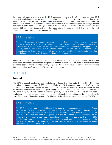In a report of initial impressions on the 2018 proposed regulations, KPMG observed that the 2018 proposed regulations did not provide a methodology for identifying the assets (or the portion of the assets) that produce FDII. Read *[TaxNewsFlash](https://home.kpmg/us/en/home/insights/2018/11/tnf-kpmg-report-initial-impressions-foreign-tax-credit-proposed-regulations.html)* (November 2018). Further, it was noted that it would be reasonable to expect the allocation rule to focus more narrowly on assets that produce "foreign derived deduction eligible income ("FDDEI")" as that is the income that is intended to be benefited by the section 250 deduction. Consistent with this observation, Treasury amended this rule in the final regulations to focus on assets that produce gross FDDEI.

# KPMG observation

Treating FDII assets as exempt assets generally has the effect of apportioning more of a taxpayer's interest expense to its section 951A category income and foreign branch category income (just as treating "GILTI inclusion stock" as an exempt asset causes more expenses to be apportioned to general, passive, and foreign branch category income). The final regulations' change in the methodology for determining exempt FDII assets will ameliorate (though not eliminate) this effect by diluting the fraction by which assets are determined to be exempt.

Additionally, the 2019 proposed regulations include clarification that the general exempt income and asset rules would apply to insurance companies in respect of certain income, such as certain deductible dividends received and tax-exempt interest, despite the fact that the insurance company may be subject to the "proration rules" on account of the receipt of such income.

### <span id="page-12-0"></span>R&E expense

#### <span id="page-12-1"></span>**In general**

The 2019 proposed regulations would substantially change the rules under Reg. § 1.861-17 for the allocation and apportionment of R&E expense. Under the 2019 proposed regulations, R&E expenses (including both deductions under section 174 and amortization of amounts capitalized under section 59(e)) would be definitely related to all "gross intangible income" reasonably connected with the relevant SIC code category. "Gross intangible income" generally would include all of the taxpayer's income attributable to intangible property (e.g., direct sales, royalties), but does not include dividends, subpart F, or GILTI inclusions. "Intangible property" for this purpose is defined by reference to section 367(d)(4).

### KPMG observation

The 2019 proposed regulations would specifically apply to both deductions under section 174 and amortization of amounts capitalized under section 59(e). Existing Reg. § 1.861-17, in contrast, lists only section 174 expenses as expenses subject to allocation and apportionment under the regulation. While not discussed in the preamble, it can be surmised that the broadening of the scope of the regulation to apply also to deductions that were capitalized under the section 59(e) election is predicated on section 59(e) applying only to expenditures that should generally bear the same factual relationship to the classes of income to which section 174 expenditures are related and allocable pursuant to Reg. § 1.861-17.

<sup>© 2019</sup> KPMG LLP, a Delaware limited liability partnership and the U.S. member firm of the KPMG network of independent member firms affiliated with KPMG International Cooperative ("KPMG International"), a Swiss entity. All rights reserved. Printed in the U.S.A. The KPMG name and logo are registered trademarks or trademarks of KPMG International.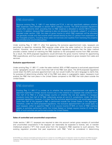Because existing Reg. § 1.861-17 was drafted pre-TCJA, it did not specifically address whether R&E expenses were allocable to section 951A category income. The 2019 proposed regulations would offer welcome relief, providing that no R&E expense is allocated to section 951A category income. In addition, because R&E expense is also not allocated to dividends, subpart F, or amounts included under section 1293, the class of gross income to which R&E expenses will be allocated will generally include only that income which earned directly by the U.S. person from exploitation of the intangible property, including direct sales and services and royalties from licensing the property to controlled and uncontrolled parties.

Under existing Reg. § 1.861-17, after first applying the exclusive apportionment rules, taxpayers are permitted to apportion remaining R&E expense under either the sales method or the gross income method. However, the preamble to the 2019 proposed regulations explains that the sales method provides a better method of matching the R&E expense to the anticipated income from R&E activities. As a result, the 2019 proposed regulations would eliminate the gross income method for apportioning R&E expenditures, and thus would require taxpayers to apportion based on gross receipts from sales and services.

#### <span id="page-13-0"></span>**Exclusive apportionment**

Under existing Reg. § 1.861-17, under the sales method, 50% of R&E expense is exclusively apportioned to the "geographic source" when more than half of the R&E took place. The 2019 proposed regulations would retain the 50% exclusive apportionment rule, but would modify the rule's language to clarify that, for purposes of determining whether half of the R&E took place in a geographic region, taxpayers must analyze the R&E that took place in the United States compared to the R&E that took place outside the United States.

# KPMG observation

Existing Reg. § 1.861-17 is unclear as to whether the exclusive apportionment rule applies to apportion expense to foreign source income only in the instance of a taxpayer that conducts more than half of its R&E in a single foreign country or whether the rule also applies if a taxpayer conducts more than half of its R&E collectively across all non-U.S. jurisdictions. Under the 2019 proposed regulations, however, it is clear that the exclusive apportionment rule would apply where more than half of the taxpayer's R&E is performed outside the United States in the aggregate. Therefore, under the 2019 proposed regulations, the exclusive apportionment rule would apply to each taxpayer, either to apportion R&E to U.S. source income (if 50% or more of R&E expense relates to activities performed within the United States) or foreign source income (if more than 50% of such activities are performed outside the United States).

#### <span id="page-13-1"></span>**Sales of controlled and uncontrolled corporations**

Under section 1.861-17, taxpayers are required to take into account certain gross receipts of controlled and uncontrolled corporations if the taxpayer can reasonably be expected to license, sell, or transfer intellectual property ("IP") that would arise from the taxpayer's R&E expense to such persons. The existing regulation provides that past experience with R&E "shall be considered in determining

© 2019 KPMG LLP, a Delaware limited liability partnership and the U.S. member firm of the KPMG network of independent member firms affiliated with KPMG International Cooperative ("KPMG International"), a Swiss entity. All rights reserved. Printed in the U.S.A. The KPMG name and logo are registered trademarks or trademarks of KPMG International.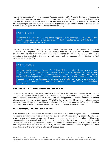reasonable expectations" for this purpose. Proposed section 1.861-17 retains the rule with respect to controlled and uncontrolled corporations, but converts the consideration of past experience into a presumption, providing that a taxpayer that has previously licensed, sold, or transferred IP related to a SIC code category to a controlled or uncontrolled corporation is presumed to expect to license, sell, or transfer to that corporation all future IP related to that category.

# KPMG observation

An example in the 2019 proposed regulations suggests that this presumption is a per se rule that cannot be rebutted even if it is clear the taxpayer will not in fact license, sell, or transfer the IP to the controlled or uncontrolled party.

The 2019 proposed regulations would also "clarify" the treatment of cost sharing arrangements ("CSAs") in two respects—(1) R&E expense allocated under Prop. Reg. § 1.861-17 does not include amounts that are not deductible under the second sentence of Reg. § 1.482-7(j)(3)(i); and (2) the exclusion of the controlled party's gross receipts applies only for purposes of apportioning the R&E expense related to the CSA.

# KPMG observation

Based on the plain language of current Reg. § 1.861-17, it appeared that if the taxpayer entered into a CSA with a controlled corporation, none of that corporation's sales were taken into account for allocating any R&E expense (i.e., whether such sales were related to the CSA or not), even if the taxpayer also separately licensed IP unrelated to the CSA to that corporation. The 2019 proposed regulations would address this ambiguity and provide that the controlled corporation's gross receipts are only excluded for purposes of allocating the taxpayer's R&E expense associated with the CSA.

#### <span id="page-14-0"></span>**Non-application of tax-exempt asset rule to R&E expense**

One question taxpayers faced when applying existing Reg. § 1.861-17 was whether the tax exempt asset rule of section 864(e)(3) applied. The application of this rule when applying the gross income method appeared straightforward, but it was unclear how to apply the rule to the sales method. Instead of providing rules for how to apply section 864(e)(3) to the new proposed R&E expense allocation rules, the 2019 proposed regulations provide that section 864(e)(3) would not apply for R&E expense allocation purposes. There is no discussion in the preamble as to why this approach was adopted.

#### <span id="page-14-1"></span>**SIC code category—wholesale and retail trade**

R&E expense is allocated based on income in the relevant SIC code category. The 2019 proposed regulations provide special rules for determining the relevant SIC code category, specifically related to wholesale and retail trade. In particular, if taxpayers engage in "material" non-sales activities (e.g., manufacturing or extraction) and wholesale or retail activities, the 2019 proposed regulations would require the taxpayer to use the non-wholesale or non-retail SIC code category for all activities related to the category of products. Thus, under the rule, the non-sales activities SIC code category would take precedence over the wholesale and retail activity product code.

<sup>© 2019</sup> KPMG LLP, a Delaware limited liability partnership and the U.S. member firm of the KPMG network of independent member firms affiliated with KPMG International Cooperative ("KPMG International"), a Swiss entity. All rights reserved. Printed in the U.S.A. The KPMG name and logo are registered trademarks or trademarks of KPMG International.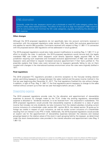Generally, under this rule, taxpayers cannot use a wholesale or retail SIC code category unless they perform solely sales-related activities. The effect of this rule is to align the taxpayer's R&E expense with its core business and minimize the SIC code categories, arguably simplifying the allocation of R&E expense.

#### <span id="page-15-0"></span>**Other changes**

Although the 2019 proposed regulations do not specifically take into account comments received in connection with the proposed regulations under section 250, they clarify that exclusive apportionment only applies for section 904 purposes. Comments received with respect to Reg. § 1.861-17 in connection with the proposed section 250 regulations will be addressed in future guidance.

The 2019 proposed regulations would also make several modifications to existing Reg. § 1.861-17 in an effort to simplify the rules. In particular, the 2019 proposed regulations would remove both the legally mandated R&E rule (under which taxpayers could directly apportion legally required R&E to the jurisdiction requiring such expenses) and increased exclusive apportionment of R&E rule (under which taxpayers were permitted to request increased exclusive apportionment if their facts justified it). The preamble explains that these rules were removed due to taxpayers generally failing to rely on them coupled with changes in the international business environment since the rules were originally drafted in 1977.

#### <span id="page-15-1"></span>**Final regulations**

The 2018 proposed FTC regulations provided a one-time exception to the five-year binding election period, permitting taxpayers to change between the sales method and the gross income method in the first tax year beginning after December 31, 2017. The final regulations finalized this rule without change. In addition, in light of Prop. Reg. § 1.861-17, the final regulations permit taxpayers to change to the sales method without consent up to their last tax year that begins before January 1, 2020.

### <span id="page-15-2"></span>Stewardship expense

The 2019 proposed regulations provide rules for the allocation and apportionment of stewardship expenses to account for changes made by the TCJA. Under the existing regulations, stewardship expense is allocated to "dividends received, or to be received from" the corporation's subsidiaries. The 2019 proposed regulations would provide that stewardship expense is allocated to a class of gross income that includes not only dividends, but also inclusions from the related subsidiary including current income inclusions of a shareholder under section 951, section 951A, the related section 78 gross-up for foreign tax credits in respect of such inclusions, as well as similar current inclusions of a shareholder resulting from an interest in any PFIC it holds. Additionally, the 2019 proposed regulations would provide an explicit rule for the apportionment of stewardship expenses between the statutory and residual groupings based on the relative values of the stock in each grouping held by the taxpayer, as determined under the stock characterization rules provided in the interest allocation and apportionment rules (Reg. § 1.861-13).

<sup>© 2019</sup> KPMG LLP, a Delaware limited liability partnership and the U.S. member firm of the KPMG network of independent member firms affiliated with KPMG International Cooperative ("KPMG International"), a Swiss entity. All rights reserved. Printed in the U.S.A. The KPMG name and logo are registered trademarks or trademarks of KPMG International.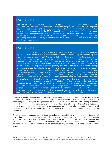While the R&E expense allocation rules in the 2019 proposed regulations would generally increase a taxpayer's FTC limitation in its section 951A limitation category, the rules in the 2019 proposed regulations related to stewardship likely will decrease a taxpayer's FTC limitation in the section 951A limitation category. While the 2019 proposed regulations may prove unfavorable to some taxpayers, such regulations would, through their reference to the stock characterization rules, allow for the application of the tax exempt asset rule for purposes of allocating and apportioning stewardship deductions, which is generally favorable for the taxpayer's FTC limitation in its section 951A limitation category.

### KPMG observation

In requiring that taxpayers apportion stewardship expense based on stock, the 2019 proposed regulations would eliminate the other reasonable methods for apportioning stewardship expense provided in existing Reg. § 1.861-8, which include apportionment based on time spent, gross receipts, gross income, or unit sales volume. Moreover, in requesting comments on whether exceptions to the general rule in the 2019 proposed regulations should be permitted "to treat stewardship expenses as definitely related to a more limited class of gross income," the preamble implies that the 2019 proposed regulation generally does not permit the allocation of stewardship with respect to less than all subsidiaries of the shareholder. However, this implication is arguably inconsistent with the regulation itself, which would provide that stewardship expense is allocated to "dividends received, or to be received, from the related corporation." Moreover, stewardship expense can be incurred with respect to U.S. affiliates, and Reg. § 1.861-14T provides that the stock of a U.S. affiliates is disregarded in apportioning expense under an asset method. Therefore, if the 2019 proposed regulations were interpreted as not permitting a taxpayer to specifically allocate stewardship expense between its subsidiaries—including between its U.S. and foreign affiliates—the result would be that all stewardship expense would be allocated and apportioned under the regulation solely based on stock of foreign affiliates owned by the taxpayer, thus potentially over-allocating the expense to section 951A category income. This does not appear to be an appropriate result, and it is hoped and expected that the rule will be clarified to properly address stewardship expenses incurred with respect to U.S. affiliates when finalized.

Treasury extended the principles applicable to the allocation and apportionment of stewardship expense as applied to a taxpayer's corporate investments to expenses incurred with respect to an interest in a partnership. Specifically, the 2019 proposed regulations would provide that any "stewardship expenses" incurred with respect to a partnership are definitely related and allocable to the partner's distributive share of partnership income and are to be apportioned among the relevant statutory and residual groupings in a manner consistent with the principles of apportionment of stewardship expenses in respect of related corporations.

Notably, Treasury requested comments on several issues related to the allocation and apportionment of stewardship expense, including whether (1) there may be instances in which stewardship expense should be directly allocable to a more limited class of gross income, (2) the definition of stewardship expenses should be modified, and (3) additional changes to the allocation and apportionment of stewardship expense are necessary to reflect changes resulting from the new law and modern business practices.

<sup>© 2019</sup> KPMG LLP, a Delaware limited liability partnership and the U.S. member firm of the KPMG network of independent member firms affiliated with KPMG International Cooperative ("KPMG International"), a Swiss entity. All rights reserved. Printed in the U.S.A. The KPMG name and logo are registered trademarks or trademarks of KPMG International.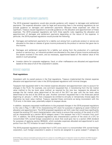# <span id="page-17-0"></span>Damages and settlement payments

The 2019 proposed regulations would also provide guidance with respect to damages and settlement payments. The expense allocation rules for legal and accounting fees in the existing regulations do not provide guidance on damages and settlement payments. Because these expenses can often be significant, Treasury issued regulations to provide guidance on the allocation and apportionment of these expenses. The 2019 proposed regulations set forth three specific rules regarding the allocation and apportionment of damages and settlement payments depending on the nature of the expense. In particular, the 2019 proposed regulations would provide the following:

- Damages and settlement payments for a liability suit arising from a particular product or service are allocated to the class or classes of gross income produced by the product or service that gave rise to the income.
- Damages and settlement payments for a liability suit arising from the production of a particular product or service (e.g., an industrial accident) are allocated to the class of gross income produced by the assets involved in the event, and as necessary, apportioned based on the relative value of the assets in such groupings
- Investor claims for corporate negligence, fraud, or other malfeasance are allocated and apportioned based on the value of all of the corporation's assets.

### <span id="page-17-1"></span>Interest expense

#### <span id="page-17-2"></span>**Final regulations**

International.

Consistent with its overall posture in the final regulations, Treasury implemented the interest expense allocation and apportionment rules in the 2018 proposed regulations with minimal changes.

Taxpayers had requested relief in the interest expense allocation and apportionment rules to account for changes in the TCJA. For example, one comment requested that, in transitioning from the fair market value method to the tax book value method, as required by the new law, taxpayers be allowed to average the fair market value determined at the end of the 2017 tax year with the tax book value determined at the end of the 2018 tax year. Another comment requested that in the three-year period beginning on January 1, 2018, that a taxpayers be entitled to annually or retroactively choose apply the alternative tax book value method. Treasury rejected these comments as being inconsistent with the TCJA and, in the latter case, potentially subject to taxpayer abuse.

In addition, taxpayers requested modifications to the proposed changes in the 2018 proposed regulations to the rules in Reg. § 1.861-13 for characterizing CFC stock for purposes of applying an asset method of allocation and apportionment. The 2018 proposed regulations set forth rules that would have significantly revised the existing CFC stock characterization rules mainly to ensure that a portion of the stock of a CFC will be characterized as a section 951A category asset if the taxpayer has a GILTI inclusion from such CFC. In addition, the 2018 proposed regulations also characterized a portion of the stock of a CFC (or noncontrolled 10% owned foreign corporation) as stock that could give rise to a section 245A dividend for purposes of applying section 904(b)(4), which excludes expenses allocated and apportioned to such portion from the FTC limitation for each limitation category.

The 2018 proposed regulations provided that if a CFC owns stock in a noncontrolled 10% owned foreign corporation, such foreign corporation's assets or income are assigned to a gross subpart F category to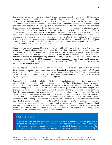the extent dividends distributed by it to the CFC would be gross subpart F income of the CFC owner. A comment requested that guidance be issued providing, instead, that stock of such a foreign corporation be assigned to the residual category (which generally includes income that does not result in a current inclusion) on account of the commenter's belief that the CFC should be entitled to a dividends-received deduction under section 245A with respect to the dividend from the foreign corporation. This comment finds its support in the language in the Conference Report that suggests that such a dividend received by a CFC would be eligible for section 245A on the basis of the rule in Reg. § 1.952-2 that treats a CFC as a domestic corporation for purposes of determining its taxable income. Treasury rejected this comment and indicated that, consistent with its comments in the preamble to the temporary section 245A regulations, it is continuing to study whether a CFC would be eligible to claim a deduction under section 245A, but in any event expects forthcoming guidance will provide that, in general, Reg. § 1.952-2 does not cause provisions explicitly applicable only to domestic corporations to become applicable to a CFC for purposes of determining its subpart F inclusion.

In addition, a comment requested that interest expense not be allocated to the stock of a CFC with a net tested loss. Treasury rejected this comment on the basis that there is no authority to suggest it would be appropriate to modify the general rule that a taxpayer allocate its interest expense to all of its assets when an asset, such as stock, produces a loss, such as a tested loss, in the current year but nonetheless remains an asset with income-producing potential. Further, Treasury observed that the tested loss is already accounted for in the 2018 proposed regulations, because the tested loss would reduce the inclusion percentage and thereby reduce the value of the stock of CFCs with tested income within the section 951A limitation category.

Nevertheless, Treasury did provide additional guidance in response to taxpayer comments with respect to two important issues. First, Treasury resolved the long-standing question as to whether a CFC using the asset method of apportionment is required to increase the value of stock in 10% owned corporations by the E&P of such lower-tier corporations for purposes of apportioning the CFC's own interest expense by providing that such E&P adjustment is indeed required.

Second, Treasury amended the rule in the 2018 proposed regulations with respect to the application of the modified gross income method to the apportionment of a CFC's deductions for interest expense. Under the existing regulations, a CFC using the modified gross income method apportions its interest expense among its various categories of income based on the gross income within each category. For this purpose, the gross income of such CFC includes its share of the gross income of lower-tier CFCs (net of interest expense) other than subpart F income (net of allocable interest expense). The 2018 regulations would have treated a lower-tier CFC's tested income in the same manner as subpart F income, and thus its gross tested income would not have tiered up to the CFC. One taxpayer commented that excluding tested income of lower-tier CFCs under the modified gross income method could lead to significantly different results for a CFC that allocates its interest expense based on the asset method versus a modified gross income method. In response to this comment, Treasury revised the rule in the final regulations to account for this potentially distortive outcome by tiering up gross tested income (net of allocable interest expense) of lower-tier CFCs for purposes of allocating interest expense of a CFC under the modified gross income method.

# KPMG observation

It should be noted that the treatment of subpart F income of lower-tier CFCs for purposes of allocating interest expense of a CFC under the modified gross income method remains unchanged. In discussing the comment submitted with respect to the GILTI change, Treasury references the rationale provided by the commenter that may have led to maintaining this distinction: that is, GILTI

<sup>© 2019</sup> KPMG LLP, a Delaware limited liability partnership and the U.S. member firm of the KPMG network of independent member firms affiliated with KPMG International Cooperative ("KPMG International"), a Swiss entity. All rights reserved. Printed in the U.S.A. The KPMG name and logo are registered trademarks or trademarks of KPMG International.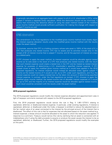is generally calculated on an aggregate basis with respect to all of a U.S. shareholder's CFCs, while subpart F remains a separate entity calculation. While this distinction should not be minimized, it seems that minimizing the distortive effects of using the asset method instead of the modified gross income method would provide sufficient justification for making this change with respect to subpart F income as well.

## KPMG observation

This amendment in the final regulations to the modified gross income method more closely aligns the interest expense allocation results under the modified gross income method with the results under the asset method.

To illustrate, assume that CFC is a holding company whose sole asset is 100% of the stock of X, a CFC that produces only tested income. CFC has no assets and its activities include only (1) the receipt of \$1 of interest income that is subpart F income, and (2) the payment of interest on a loan to a related party.

If CFC chooses to apply the asset method, its interest expense would be allocable against tested income as its sole asset is the stock of a CFC that produces only tested income, with the result that such interest expense could create a tested loss in the CFC and be treated as tested interest expense for purposes of determining a U.S. shareholder's specified interest expense. If CFC instead chose to apply the modified gross income method as it would have applied in the 2018 proposed regulations, its interest expense would instead be allocated solely against subpart F income as the tested income of X would not tier up to CFC under such regulations, and thus the interest expense could not create a tested loss nor be taken into account in determining specified interest expense. In contrast, under the final regulations as revised, if CFC chooses to apply the modified gross income method, the tested income (net of allocable interest expense) of X would tier up to CFC and the majority of its interest expense would be allocable against tested income. Such result would be consistent with the results under the asset method.

#### <span id="page-19-0"></span>**2019 proposed regulations**

The 2019 proposed regulations would modify the interest expense allocation and apportionment rules in light of taxpayer comments received with respect to the 2018 proposed regulations.

First, the 2019 proposed regulations would narrow the rule in Reg. § 1.861-12T(f)(1) relating to capitalized, deferred, or disallowed interest expense. In particular, under existing regulations, if interest is capitalized, deferred, or disallowed under the Code, a taxpayer is entitled to reduce the adjusted basis or the fair market value of an asset connected to the interest by the principal amount of the interest that is disallowed. The effect of this rule is that for expenses that are allocated based on the asset method (e.g., interest expense), a lesser amount would be allocated to the asset to which the reduction was applied. In response to a comment, Treasury would narrow this rule by clarifying that an asset is connected with an indebtedness only if using the debt proceeds to acquire or produce the asset causes the interest to be so capitalized, deferred, or disallowed. Further, the 2019 proposed regulations would modify the examples on this point.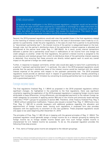As a result of this modification in the 2019 proposed regulations, a taxpayer would not be entitled to reduce the value of CFC stock acquired by a corporation in exchange for a debt instrument the interest for which is disallowed under section 163(l) because it is not the acquisition of the CFC stock, but rather the terms of the instrument, that causes the disallowance. This result is made explicit in the modified example included in the 2019 proposed regulations.

Second, the 2019 proposed regulations would add rules that parallel those in the final regulations related to the matching of interest income to interest expense in the case of downstream loans made by a U.S. partner to a partnership. Under the prior regulations, in the case of a loan from a partner to its partnership (a "downstream partnership loan"), the interest income of the partner is categorized based on the lookthrough rules, but the partner's distributive share of the partnership's interest expense is allocated and apportioned at the partner level under Reg. § 1.861-9(e)(2). As a result, purely internal transactions between a partner and a partnership could result in reallocations of net income from one foreign tax credit category to another. Under the final regulations, the partner's interest income is assigned to the same statutory and residual groups from which its distributive share of the partnership interest expense is deducted, thus ensuring that these amounts are directly netted against each to avoid any overall impact on the partner's foreign tax credit capacity.

Further, in response to taxpayer comments, similar rules would also apply to loans from a partnership to a partner ("upstream partnership loans"). In particular, the rules in the 2019 proposed regulations would provide that the partner's distributive share of the interest income would be matched with the related interest expense of the partner with respect to the upstream partnership loan. The 2019 proposed regulations would provide an identical result in respect of guaranteed payments, thereby preventing a taxpayer from increasing its FTC limitation by converting its existing partnership loan to an equity interest with a guaranteed payment.

# <span id="page-20-0"></span>Foreign income taxes

The final regulations finalized Reg. § 1.904-6 as proposed in the 2018 proposed regulations without significant changes. As highlighted in the preamble to the final regulations, there was significant uncertainty regarding the application of the 2018 proposed regulations in assigning foreign income taxes attributable to base differences, timing differences, and disregarded payments to the relevant foreign tax credit categories for purposes of applying section 904 and to the income and previously taxed earnings and profits ("PTEP") groups for purposes of section 960. Therefore, while Treasury finalized Prop. Reg. § 1.904-6 without substantive modification, Treasury also issued a revised Prop. Reg. § 1.904-6 and a new Prop. Reg. § 1.861-20 to provide taxpayers with additional guidance regarding the allocation and apportionment of foreign income taxes. Issuing such regulations in proposed form also provides taxpayers with the opportunity to comment on this new guidance. These proposed regulations would only apply to tax years beginning after December 31, 2019.

The principles of Prop. Reg. § 1.861-20 are in keeping with the general principles of Reg. § 1.904-6. The proposed regulation would generally assign a foreign income tax to a relevant grouping by relating the foreign income tax to foreign taxable income based upon how such foreign taxable income is characterized for U.S. federal income tax purposes. To do so, the proposed regulation provides the following three-step process:

First, items of foreign gross income are assigned to the relevant groupings;

© 2019 KPMG LLP, a Delaware limited liability partnership and the U.S. member firm of the KPMG network of independent member firms affiliated with KPMG International Cooperative ("KPMG International"), a Swiss entity. All rights reserved. Printed in the U.S.A. The KPMG name and logo are registered trademarks or trademarks of KPMG International.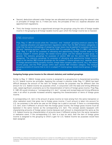- Second, deductions allowed under foreign law are allocated and apportioned using the relevant rules or principles of foreign law or, if there are none, the principles of the U.S. expense allocation and apportionment regulations;
- Third, the foreign income tax is apportioned amongst the groupings using the ratio of foreign taxable income in the grouping to all foreign taxable income upon which the foreign income tax is imposed.

Prop. Reg. § 1.861-20 would utilize the "statutory" and "residual" grouping construct used by the U.S. expense allocation and apportionment regulations rather than the 904 limitation categories in order that the same methodology of assigning foreign taxes may be applied for purposes of section 904 and "operative sections" other than section 904. For example, Prop. Reg. § 1.960-1 references Prop. Reg. § 1.861-20 for purposes of allocating and apportioning foreign income taxes to the various subpart F income groups, the tested income group, and the residual income group. In general, the statutory groupings for purposes of section 904 are the section 904 limitation categories. The statutory groupings for purposes of allocating and apportioning foreign income taxes to the section 960 income groupings are the subpart F income groups (e.g., separate items of foreign personal holding company income, foreign base company sales income, etc.), the tested income group, and the PTEP groups within each section 904 limitation category. The residual grouping consists of income that is not in a subpart F income group, tested income group, or PTEP group.

#### <span id="page-21-0"></span>**Assigning foreign gross income to the relevant statutory and residual groupings**

Similar to Reg. § 1.904-6, foreign gross income is assigned to a grouping but is characterized according to U.S. federal income tax principles. Applying this concept in practice under Reg. § 1.904-6 has been difficult because the amount of the item for foreign income tax purposes may be different than the amount for U.S. federal income tax purposes which, in conjunction with the base and timing difference rules, raised significant uncertainty as to the characterization of items of foreign gross income. Prop Reg. § 1.861-20 would introduce a "corresponding U.S. item" concept and revised base and timing difference rules in an effort to provide increased certainty regarding the characterization of items of foreign gross income.

A corresponding U.S. item is the amount of gross income (or loss) arising from the same transaction or other realization event that gives rise to foreign gross income, if such amount is taken into account for U.S. tax purposes in the same tax year as the foreign tax is paid or accrued. If there is a corresponding U.S. item, even if different in amount than the foreign gross income, the foreign gross income must be basketed in the same manner as the corresponding U.S. item. This concept assists taxpayers with characterizing amounts of foreign gross income because such amount is characterized the same as the U.S. federal income tax characterization of amounts (even if different) arising from the same transaction or realization event. If the corresponding U.S. item is a loss (or zero), then the item of foreign gross income is assigned to the grouping to which a gain for U.S. federal income tax purposes would have been assigned.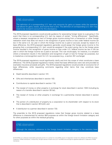The definition of a corresponding U.S. item only accounts for gains or losses while the operative rule allows for gains, losses, and income that is zero. The definition of corresponding U.S. item may need to be revised to account for this discrepancy.

The 2019 proposed regulations would provide guidance for associating foreign taxes to a grouping in the event that there is no corresponding U.S. item by reason of certain "timing differences." Specifically, where a taxpayer recognizes an item of foreign gross income arising from a transaction or other foreign realization event that does not result in the recognition of gross income or loss under federal income tax law in the same U.S. tax year in which the foreign income tax is paid or accrued, except by reason of a base difference, the 2019 proposed regulations generally would assign the foreign gross income to the grouping that a corresponding U.S. item would be assigned if the event giving rise to the foreign gross income resulted in the recognition of gross income or loss under U.S. federal income tax law in the tax year in which the foreign income tax is paid or accrued. This rule would apply, for instance, in a situation where a transaction results in the realization and recognition of gain or loss for foreign tax purposes, but is treated as a nonrecognition event for U.S. tax purposes (e.g., a section 351 exchange).

The 2019 proposed regulations would significantly clarify and limit the scope of what constitutes a base difference. The 2018 proposed regulations merely noted that base differences were rare and provided as examples insurance proceeds and gifts. The 2019 proposed regulations would provide an exclusive list of base differences, while requesting comments regarding other items that may constitute base differences:

- Death benefits described in section 101;
- Gifts and inheritances described in section 102;
- Contributions to capital described in section 118;
- The receipt of money or other property in exchange for stock described in section 1032 (including by reason of a transfer described in section 351(a));
- The receipt of money or other property in exchange for a partnership interest described in section 721;
- The portion of a distribution of property by a corporation to its shareholder with respect to its stock that is described in section 301(c)(2); and
- A distribution to a partner described in section 733.

The preamble to the 2019 proposed regulations notes that foreign gross income related to a base difference is characterized for section 904 purposes as within the foreign branch limitation category and for other purposes as within the residual grouping.

# KPMG observation

Although the statutory reference to the foreign branch limitation category in the statutory base

© 2019 KPMG LLP, a Delaware limited liability partnership and the U.S. member firm of the KPMG network of independent member firms affiliated with KPMG International Cooperative ("KPMG International"), a Swiss entity. All rights reserved. Printed in the U.S.A. The KPMG name and logo are registered trademarks or trademarks of KPMG International.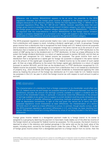difference rule in section  $904(d)(2)(H)(i)$  appears to be an error, the preamble to the 2019 regulations reiterates that the foreign gross income is assigned to the foreign branch limitation category because of such statutory reference. Neither the final regulations (Reg. § 1.904-6) nor the proposed regulations (Prop. Reg. §§ 1.861-20 and 1.904-6), however, specifically state that such foreign gross income is assigned to the foreign branch limitation category, but rather merely assign the foreign gross income to the "separate category described in section 904(d)(2)(H)(i)." Therefore, an argument that the cross-reference in section 904(d)(2)(H)(i) to the foreign branch limitation category is properly disregarded as a scrivener's error might still support a view that the amount attributable to a base difference should be assigned to the general limitation category.

The 2019 proposed regulations would provide helpful new rules to assign foreign gross income arising from a distribution with respect to stock, including a dividend, capital gain, or both, to groupings. Foreign gross income from a distribution that is recognized for both foreign and U.S. federal income tax purposes and is treated as a dividend under foreign law is assigned in the same manner as (i) the amount of such distribution that is treated as a dividend for U.S. federal income tax and / or as a PTEP distribution to the extent of E&P giving rise to the dividend and / or PTEP distribution, (ii) then as a base difference to the extent the foreign dividend distribution is a return of capital pursuant to section 301(c)(2), and (iii) then as the capital gain recognized for U.S. federal income tax purposes. The gross income from such a distribution that is recognized as a capital gain for foreign tax purposes is assigned in the same manner as (i) the amount of the capital gain recognized for U.S. federal income tax to the extent of such capital gain, (ii) then as a base difference to the extent the foreign capital gain distribution is a return of capital pursuant to section 301(c)(2), and (iii) then as the dividend and / or PTEP distribution recognized for U.S. federal income tax purposes. Foreign gross income from a distribution that is not treated as a distribution of property (e.g., stock dividends and foreign law consent dividends) is characterized applying the rules above by treating the amount of the foreign law distribution as if it were made for U.S. federal income tax purposes in the U.S. tax year in which the foreign income tax with respect to such amount is paid or accrued.

# KPMG observation

The characterization of a distribution from a foreign corporation to its shareholder would often vary for U.S. federal income tax and foreign tax purposes because of differences between how the two jurisdictions calculate the amount the earnings currently available to support a dividend and the amount of the shareholder's basis. In particular, it should be noted that differences in the amount of earnings available at any given time to support a current dividend could be purely temporary as a result of a myriad of possible differences in accounting methods employed by each jurisdiction, such as depreciation conventions. In light of this and given the narrow list of items the 2019 proposed regulations would characterize as base differences, the characterization of a section 301(c)(2) return of capital as a base difference is curious. In contrast, though equally curious, under the 2019 proposed regulations, permanent differences in U.S. and foreign tax base resulting from section 338 elections would be a timing difference by virtue of not being included in the list of base differences.

Foreign gross income related to a disregarded payment made by a foreign branch to its owner is assigned to a grouping by deeming the payment to have been made ratably out of the after-tax income of the foreign branch as computed for federal income tax purposes. For this purpose, the branch income is deemed to arise in the statutory and residual groupings in the same ratio as the tax book value of the assets, including stock, owned by the foreign branch under the rules of Reg. § 1.987-6(b)(2). If the item of foreign gross income arises from a disregarded payment to a foreign branch from its owner, then the

<sup>© 2019</sup> KPMG LLP, a Delaware limited liability partnership and the U.S. member firm of the KPMG network of independent member firms affiliated with KPMG International Cooperative ("KPMG International"), a Swiss entity. All rights reserved. Printed in the U.S.A. The KPMG name and logo are registered trademarks or trademarks of KPMG International.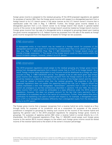foreign gross income is assigned to the residual grouping. [If the 2019 proposed regulations are applied for purposes of section 904, then the foreign gross income with respect to a disregarded payment from a foreign branch to its U.S. branch owner in the same manner as the U.S. branch owner's income that is reattributed under the rules in Reg. § 1.904-4(f). Further, the foreign gross income related to a disregarded payment from a U.S. branch owner to its foreign branch that results in general basket income of the owner to be reattributed to its foreign branch would be treated as foreign branch income.] Foreign gross income from the sale of a disregarded entity is assigned to groupings based upon treating the gross income recognized for U.S. federal income tax purposes from the sale of the assets as foreign gross income recognized from the disposition of assets for foreign tax law purposes.

## KPMG observation

A disregarded entity or true branch may be treated as a foreign branch for purposes of the disregarded payment rules even if it is owned by a person other than a U.S. person (e.g., a CFC). See, e.g., Reg. § 1.904-4(f)(3); Prop. Reg. § 1.861-20(d)(3)(ii)(D) ("A foreign branch owner can include a foreign corporation."). The owner of the foreign branch could not have income within the branch limitation category, however, unless it is a U.S. person.

# KPMG observation

The 2019 proposed regulations would assign to the residual grouping any foreign gross income arising from disregarded payments from a branch owner that is a CFC to its foreign branch. As a result, foreign income taxes attributable to such income would be disallowed as a foreign tax credit pursuant to Reg. § 1.960-1(d)(3)(ii)(A) and (e). This appears to be an odd result given that foreign gross income with respect to a disregarded payment from the foreign branch to its CFC owner would be treated as a deemed distribution from the income of the foreign branch and the related tax could be related to income other than the residual grouping. The preamble to the 2019 proposed regulations does not explain the reasoning behind this rule, but a Treasury official has publicly expressed a view that disregarded "downstream" payments from a CFC to its foreign branch are analogous to tax-free contributions described in sections 118 and 1032, the foreign gross income from which would be attributable to a base difference under the 2019 proposed regulations. However, this does not properly account for the fact that many payments from a shareholder to its subsidiary are not in the nature of a contribution. Further, there seems little policy justification for basketing a tax paid or accrued with respect to, for example, a disregarded royalty from a CFC to its disregarded subsidiary differently than a disregarded royalty from the disregarded entity to its CFC parent.

The foreign gross income that a taxpayer recognizes from a reverse hybrid (an entity treated as a flowthrough entity for purposes of its jurisdiction and as a corporation for purposes of the owner's jurisdiction) is assigned to groupings by treating such income as the income of the reverse hybrid and applying the general rules in the 2019 proposed regulations for assigning foreign gross income to groupings. For purposes of applying section 904 when a reverse hybrid is owned directly by a U.S. shareholder, the 2019 proposed regulations (Prop. Reg. § 1.904-6(f)) would assign such foreign gross income to the section 951A income category to the extent such foreign gross income would be tested income of the reverse hybrid and to the extent of the owner's inclusion percentage.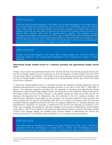Under the 2019 proposed regulations, the foreign income taxes attributable to the foreign income of a reverse hybrid that are treated as paid or accrued by a U.S. shareholder owner of a reverse hybrid entity under the technical taxpayer rule would be assigned to the section 951A income category (assuming the taxes relate to gross income earned by the reverse hybrid that results in a section 951A inclusion) rather than the general income category. The preamble requests comments with respect to the interaction of Prop. Reg. § 1.904-6(f) with sections 245A(g) and 909 (pertaining to split taxes, of which foreign taxes imposed on reverse hybrids is one category). It is not clear if there are specific types of interactions the request had in mind, such as whether all split taxes should similarly be basketed with respect to the split income.

# KPMG observation

Foreign income taxes assigned to the section 951A income category are not haircut under the proposed regulations, even though taxes attributable to GILTI inclusions are subject to a 20% reduction.

#### <span id="page-25-0"></span>**Determining foreign taxable income in a statutory grouping and apportioning foreign income taxes**

Foreign income taxes are apportioned between the relevant statutory and residual groupings based upon the ratio of foreign taxable income in a grouping to all of the taxpayer's foreign taxable income to which the tax relates (Step 3 noted above—the foreign income tax is apportioned amongst the groupings using the ratio of foreign taxable income in the grouping to all foreign taxable income upon which the foreign income tax is imposed.).

To determine foreign taxable income in a statutory grouping, the taxpayer's foreign deductions must be allocated and apportioned to the relevant groupings pursuant to the rules of Prop. Reg. § 1.861-20(e). In general, this proposed regulation provides that, for purposes of allocating and apportioning foreign deductions in determining foreign taxable income, the foreign law of the jurisdiction imposing the tax on the foreign taxable income controls. However, if the relevant foreign law does not provide rules for the allocation and apportionment of deductions, then the principles of the U.S. expense allocation and apportionment regulations would apply for such purpose. The proposed regulation would provides that such principles are not required to be applied other than on a company by company basis but that such principles should be applied consistently with how the taxpayer applies the U.S. expense allocation and apportionment regulations for purposes of determining the income and earnings and profits of such entity. As an example, the regulations note that a taxpayer must use the modified gross income method under Reg. § 1.861-9T for purposes of allocating and apportioning interest in determining foreign taxable income if the taxpayer applies the modified gross income method in determining the income and earnings and profits of a controlled foreign corporation for U.S. federal income tax purposes.

## KPMG observation

The methodology for allocating and apportioning foreign deductions in Prop. Reg. § 1.861-20 is consistent with the methodology in existing Reg. § 1.904-6. Such methodology can be burdensome given that a taxpayer would need to understand the allocation and apportionment

<sup>© 2019</sup> KPMG LLP, a Delaware limited liability partnership and the U.S. member firm of the KPMG network of independent member firms affiliated with KPMG International Cooperative ("KPMG International"), a Swiss entity. All rights reserved. Printed in the U.S.A. The KPMG name and logo are registered trademarks or trademarks of KPMG International.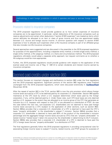methodology in each foreign jurisdiction in which it operates and pays or accrues foreign income tax.

#### <span id="page-26-0"></span>Provisions related to insurance companies

The 2019 proposed regulations would provide guidance as to how certain expenses of insurance companies are to be apportioned. In particular, certain deductions of life insurance companies such as reserve adjustments and certain other deductions ("section 818(f) expenses") are treated as items which cannot definitely be allocated to an item or class of gross income and thus are apportioned ratably between U.S. source and foreign source income. A common question with respect to section 818(f) expenses is how to allocate such expenses when a life insurance company is part of an affiliated group that also includes non-life insurance companies.

Several approaches were suggested and are discussed in the preamble to the 2019 proposed regulations for purposes of this apportionment, including a separate entity method, a limited single entity method, a single entity method, a life subgroup method, or a facts and circumstances method. The 2019 proposed regulations ultimately would adopt a separate entity approach, but request comments as to whether a life subgroup would be more appropriate.

Further, the 2019 proposed regulations would provide guidance with respect to the application of the exempt asset and income rule of Reg. § 1.861-8 to certain dividends and interest income earned by insurance companies.

# <span id="page-26-1"></span>Deemed paid credits under section 960

This section focuses on important changes and clarifications to section 960 under the final regulations and the 2019 proposed regulations. Significant portions of the section 960 regulations were finalized unchanged from the 2018 proposed regulations, which were discussed extensively in **[TaxNewsFlash](https://home.kpmg/us/en/home/insights/2018/11/tnf-kpmg-report-initial-impressions-foreign-tax-credit-proposed-regulations.html)** (November 2018).

After the repeal of section 902 in the TCJA, section 960 is now the only provision which allows foreign income taxes accrued by a CFC to be deemed paid by its corporate U.S. shareholder. Section 960 applies mechanics at the CFC level by which a U.S. taxpayer determines which taxes paid by the foreign corporation, if any, will be deemed paid by it. Under these rules, such CFC-level taxes are only deemed paid by a U.S. taxpayer to the extent they are allocated to an income group of the CFC that generates an inclusion by a U.S. taxpayer with respect to that CFC or are allocated to a distribution of PTEP. As was the case before the new law, non-corporate U.S. shareholders are not deemed to have paid foreign income taxes accrued by a CFC (subject to the application of other sections, such as section 962). Section 960(a) provides that a corporate U.S. shareholder of a CFC is deemed to have paid the CFC's taxes "properly attributable" to the shareholder's subpart F inclusion. Section 960(d) provides that a corporate U.S. shareholder is deemed to have paid 80% of the product of the shareholder's inclusion percentage and the aggregate foreign income taxes accrued by CFCs that are "properly attributable" to tested income ("tested taxes") taken into account by the shareholder in determining its GILTI inclusion. Section 960(b) also provides that a corporate U.S. shareholder of a CFC is deemed to have paid the CFC's foreign taxes that are "properly attributable" to a distribution of PTEP.

The final regulations generally follow the 2018 proposed regulations in providing computational rules for associating foreign income taxes to subpart F income, tested income, and PTEP groups for purposes of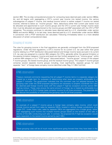section 960. The six-step computational process for computing taxes deemed paid under section 960(a), (b), and (d) begins with segregating a CFC's current year income into tested income, the various subcategories of subpart F income, and residual income (which is neither subpart F income nor tested income), referred to below as "income groups." Next, deductions (other than current year taxes) must be allocated and apportioned to such income groups and the CFC's current year foreign income taxes then must be allocated and apportioned to the income groups and E&P associated with the CFC's PTEP categories. The process continues to calculate taxes deemed paid by a U.S. shareholder under section 960(a) and section 960(d). In its last step, taxes deemed paid by a U.S. shareholder under section 960(b) in connection with a PTEP distribution are calculated. Following immediately below is a more detailed discussion of certain computational steps.

# <span id="page-27-0"></span>Grouping of income

The rules for grouping income in the final regulations are generally unchanged from the 2018 proposed regulations. Under the final regulations, a CFC's income for its current U.S. tax year (other than gross income relating to a PTEP distribution (discussed below)) and foreign income taxes accrued in its current U.S. tax year are assigned to a section 904 category (for CFCs, generally either the general limitation or the passive limitation category). Income and taxes are then further assigned to an "income group" within a section 904 category or to a "PTEP group" (discussed below). "Income groups" consist of the subpart F income groups, the tested income group, and the residual income group. The subpart F income groups comprise several separate income groups including, most significantly, separate groups for each separate "item" of foreign base company income identified under Reg. § 1.954-1(c)(1)(iii).

### KPMG observation

Treasury received comments requesting that all subpart F income items in a separate category be treated as a single item for purposes of determining what taxes are properly attributable to a subpart F inclusion. The government indicated that the comment was not adopted because the grouping rules under the 2018 proposed regulations are necessary to properly coordinate the rules for deemed paid foreign income taxes with the subpart F high-tax exception and the section 904 high-tax kickout. These rules ensure the same amount of foreign tax is treated as attributable to a particular item of a CFC's foreign base company income for all three provisions. The preamble did not discuss the possibility of simplifying the grouping rules for all three purposes.

# KPMG observation

An example of a subpart F income group is foreign base company sales income, which could include income earned from sales by separate QBUs, located in various foreign jurisdictions, of a single CFC. Under these rules, sales by separate QBUs are aggregated into a single group, rather than segregating such income into multiple income groups based on the location of the sale or identity of the QBU conducting such sale. In contrast, the proposed GILTI high-tax exception would apply separately to the tested income earned by each QBU.

# KPMG observation

These grouping rules will be of much more significance going forward than they have been in the

© 2019 KPMG LLP, a Delaware limited liability partnership and the U.S. member firm of the KPMG network of independent member firms affiliated with KPMG International Cooperative ("KPMG International"), a Swiss entity. All rights reserved. Printed in the U.S.A. The KPMG name and logo are registered trademarks or trademarks of KPMG International.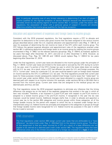past. In particular, grouping was of very limited relevance in determining if an item of subpart F income qualified for the high-tax exception of section 954(b)(4) because the determination was ultimately driven by the pooling regime of former section 902. In contrast, under the section 960 regulations, the association of taxes with a particular group of subpart F income will directly determine whether that income group qualifies for the high-tax exception.

### <span id="page-28-0"></span>Allocation and apportionment of expenses and foreign taxes to income groups

Consistent with the 2018 proposed regulations, the final regulations require a CFC to allocate and apportion its deductions to the current year gross income that has been assigned to the various income groups described above under the U.S. expense allocation and apportionment rules (Reg. § 1.861-8, et seq.) for purposes of determining the net income (or loss) of the CFC within each income group. The CFC follows the general expense allocation and apportionment rules of the regulations enacted under section 861 in allocating deductions and foreign taxes to an income group by treating the income groups enumerated in Reg. § 1.960-1 as the relevant statutory groupings. Reg. § 1.904-6, as finalized, applies to tax years that begin after December 31, 2017, and end on or after December 4, 2018. However, as discussed above, Prop. Reg. §§ 1.861-20 and 1.904-6 would replace Reg. § 1.904-6 for tax years beginning after December 31, 2019.

Under the final regulations, current year taxes are allocated to the income groups under the principles of Reg. § 1.904-6. Current year taxes are limited to the taxes paid or accrued by the CFC during its current U.S. tax year, even if a portion of the CFC's foreign tax year to which the taxes relate does not overlap with its U.S. tax year. As a result, when a CFC has different tax years for U.S. and foreign purposes, the CFC's "current year" taxes for a particular U.S. tax year could be based in part on foreign taxes imposed on income earned by the CFC in a different U.S. tax year. The final regulations provide that current year taxes for these purposes include subsequently redetermined foreign income taxes that "relate back" to the current year under section 905(c). Only current year taxes allocated to a specific income group are deemed paid with respect to an income inclusion (for example, under sections 951(a) or 951A(a)) that is sourced from the income group. Current year taxes that are assigned to the residual group are not deemed paid, and thus, are lost.

The final regulations revise the 2018 proposed regulations to eliminate any inference that the timing difference rule assigns tax on the basis of the separate categories that existed in the year in which an item was included. Therefore, a tax imposed in a post-TCJA year with respect to pre-TCJA income is assigned to a tested income group if the pre-TCJA income, if recognized in the year the tax was imposed, would be tested income. Additional changes clarify that, in order to allocate and apportion a current year tax to the section 904 categories and income groups within those categories, all of the foreign taxable income for the period with respect to which the tax is imposed under foreign law is characterized using U.S. federal income tax principles and assigned to the categories or groups as though that foreign taxable income were recognized for U.S. federal income tax purposes in the year in which the tax is paid or accrued.

## KPMG observation

The final regulations under section 960 assign current year taxes that are attributable to a "base difference" (as determined under Reg. § 1.904-6(a)(1)(iv)) to the residual income group. The effect of this assignment is that any taxes incurred by a CFC as a result of a base difference are not eligible to be claimed as a deemed paid credit under section 960. The regulations state that base differences arise only in the limited circumstance of a foreign tax imposed on a **type** of item that

© 2019 KPMG LLP, a Delaware limited liability partnership and the U.S. member firm of the KPMG network of independent member firms affiliated with KPMG International Cooperative ("KPMG International"), a Swiss entity. All rights reserved. Printed in the U.S.A. The KPMG name and logo are registered trademarks or trademarks of KPMG International.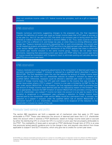does not constitute income under U.S. federal income tax principles, such as a gift or insurance proceeds.

### KPMG observation

Despite numerous comments suggesting changes to the proposed rule, the final regulations maintain the definition of current year taxes as foreign income taxes that a CFC pays or accrues in its tax year (i.e., the U.S. tax year of a CFC that either is an inclusion year or during which the CFC receives or makes a distribution described in sections 959(a) or (b)). Thus, taxes could be stranded when a CFC has a different U.S. and foreign tax year, or when there is a timing difference under foreign law. Treasury received comments requesting that, in such circumstances, the current year tax be treated as properly attributable to PTEP and thus to be deemed paid under section 960 (e.g., under section 960(b) upon a subsequent distribution of the PTEP) despite that there is otherwise no current year income inclusion in the same income group. Treasury did not adopt these comments, reasoning that associating current year taxes with PTEP rather than current year items of income would be inconsistent with Congress's intent to eliminate pooling and calculate deemed paid FTCs on a current year basis.

# KPMG observation

Treasury received comments requesting adjustments to the computation of deemed paid taxes if a domestic corporation's subpart F inclusion is reduced by a qualified deficit described in section 952(c)(1)(B). The final regulations retain the rule that reduces the amount of foreign income taxes deemed paid to the extent the U.S. shareholder reduces its subpart F inclusion by reason of a qualified deficit. Otherwise, taxpayers could be allowed a deemed paid credit in excess of the amount of foreign income taxes the CFC paid with respect to the income that was included. A similar issue arises where a CFC's subpart F income in a tax year is limited by its E&P for the tax year under section 952(c)(1)(A). In this situation, the final regulations afford relief by providing that the amount of foreign income taxes deemed paid are not reduced by reason of the limitation. This rule is appropriate, because the E&P limitation of section 952(c)(1)(A) only provides a timing benefit to a U.S. shareholder—any subpart F income not taken into account in a tax year by reason of the limitation is recaptured in a subsequent year—whereas a reduction to foreign income taxes deemed paid by the shareholder under section 960(a) would be a permanent loss. In contrast, the reduction to a subpart F inclusion under the qualified deficit rule of section 952(c)(1)(B) is a permanent benefit to a U.S. shareholder, because there is no recapture of the reduction to the shareholder's inclusion by reason of the rule.

### <span id="page-29-0"></span>Previously taxed earnings and profits

The section 960 regulations set forth a separate set of mechanical rules that apply to CFC taxes attributable to PTEP. These rules determine the amount of deemed paid taxes that a U.S. shareholder takes into account when it receives a PTEP distribution, based on foreign income taxes paid or accrued by either the distributing CFC or a lower-tier CFC in a current or prior year that are properly attributable to the PTEP. The creditability of taxes paid or accrued on PTEP distributed through tiers of CFCs is an area that previously lacked specific guidance prior to the change in law, and requires rules distinct from those applicable to subpart F and GILTI inclusions, which only give rise to credits for current year taxes.

<sup>© 2019</sup> KPMG LLP, a Delaware limited liability partnership and the U.S. member firm of the KPMG network of independent member firms affiliated with KPMG International Cooperative ("KPMG International"), a Swiss entity. All rights reserved. Printed in the U.S.A. The KPMG name and logo are registered trademarks or trademarks of KPMG International.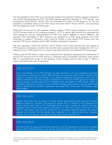The final regulations track PTEP on an annual basis based on the separate limitation category assigned to the inclusion that generated the PTEP. The 2018 proposed regulations identified 10 "PTEP groups," and subsequently Notice 2019-01, 2019-2 I.R.B. 275, expanded the number of PTEP groups to 16. The final regulations consolidate certain of the PTEP groups that were listed in Notice 2019-01, and accordingly the final regulations contain 10 PTEP groups.

Within each annual layer for each separate limitation category, PTEP is further assigned to one of these 10 PTEP groups based on the underlying subpart F, GILTI, or section 956 inclusion that generated the PTEP (taking into account reclassifications of PTEP from section 959(c)(2) to section 959(c)(1)). For example, PTEP attributable to GILTI inclusions are assigned to a PTEP group separate from PTEP attributable to subpart F inclusions, which would be tracked in three distinct PTEP groups (with two separate PTEP groups related to section 965 mandatory repatriation inclusions).

The final regulations modify the transition rule for foreign income taxes deemed paid with respect to PTEP groups by eliminating a condition that could be read to provide that taxes imposed after 2017 on a distribution from a PTEP group from an inclusion year before 2018 are not treated as PTEP group taxes.

Treasury and the IRS intend to issue more comprehensive regulations addressing the maintenance of annual PTEP accounts and the PTEP groups in a separate notice of proposed rulemaking under section 959. It is anticipated that, as part of that guidance, further changes may be made to Reg. § 1.960-3 in order to coordinate both sets of regulations.

#### KPMG observation

Prior to the change in law, PTEP generally has been classified in only two categories—previously taxed income resulting from section 956 inclusions and previously taxed income resulting from subpart F inclusions. After the change in law, additional subgroups are necessary, due in part to different substantive rules that can apply to distributions of the various PTEP groups for foreign tax credit purposes, including reductions in creditable taxes attributable to PTEP groups related to mandatory repatriation inclusions, as well as different foreign currency gain or loss calculations that apply to distribution of mandatory repatriation associated PTEP versus other PTEP groups under section 986(c).

### KPMG observation

Section 78 provides that the amount of foreign income taxes deemed paid pursuant to section 960(b) is treated as a dividend. The purpose of section 78 is to disallow a CFC's deduction for foreign income taxes when a U.S. shareholder elects to claim a foreign tax credit for the year. Although foreign income taxes properly attributable to a PTEP group reduce the amount of the PTEP in such group, such amounts should not be considered deducted because the amount reduced is an amount that has already been subjected to U.S. federal income tax. However, Treasury did not provide any relief given the clear statutory text of section 78.

# KPMG observation

Consistent with the statute and proposed regulations, the final regulations do not haircut creditable taxes on GILTI PTEP distributions, even though taxes attributable to GILTI inclusions are subject to

© 2019 KPMG LLP, a Delaware limited liability partnership and the U.S. member firm of the KPMG network of independent member firms affiliated with KPMG International Cooperative ("KPMG International"), a Swiss entity. All rights reserved. Printed in the U.S.A. The KPMG name and logo are registered trademarks or trademarks of KPMG International.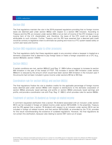# <span id="page-31-0"></span>Section 956

The final regulations maintain the rule in the 2018 proposed regulations providing that no foreign income taxes are deemed paid under section 960(a) with respect to a section 956 inclusion. According to Treasury and the IRS, an inclusion under section 956 is not an item of income of the CFC (instead, it is an income item of the U.S. shareholder), and, therefore, the taxes of the CFC could not be properly attributable to such inclusion. Further, Treasury and the IRS have asserted that a deemed paid credit would be contrary to legislative intent to eliminate tax pooling and move to a FTC system based solely on current year taxes and income.

### <span id="page-31-1"></span>Section 960 regulations apply to other provisions

The final regulations clarify that these regulations apply to any provision where a taxpayer is treated as a domestic corporation that is deemed to pay foreign taxes or treats a foreign corporation as a CFC (e.g., section 962(a)(2), section 1293(f)).

# <span id="page-31-2"></span>Section 960(c)

If certain conditions are met, section 960(c)(1) and Reg. § 1.960-4 allow a taxpayer to increase its section 904 limitation in the year of the receipt of PTEP. The increase in section 904 limitation under section 960(c)(1) is reduced by the amount which would have been section 904 limitation in the inclusion year if the amounts had not been included in gross income under sections 951(a) or 951A(a).

# <span id="page-31-3"></span>Coordination rule for section 965(g) and section 960(b)

The final regulations finalize the rule to disallow credits for the applicable percentage of foreign income taxes deemed paid under section 960(b) with respect to distributions to the domestic corporation of section 965(a) previously taxed earnings and profits or section 965(b) previously taxed earnings and profits, and provide a coordination rule with Prop. Reg. § 1.960-3, which provides rules for section 960(b).

# <span id="page-31-4"></span>Treatment of section 78 dividend as foreign oil related income

A comment requested clarification that a section 78 dividend associated with an inclusion under section 951A can be included in foreign oil related income under section 907(c)(3)(B). In the preamble, Treasury and the IRS agreed that a section 78 dividend with respect to an inclusion under section 951A can be included in foreign oil related income, and that section 907(c)(3)(B), as amended by the TCJA, provides for this result notwithstanding the existence of outdated regulations. However, the final regulations do not contain this clarification, because rules relating to section 907 were out of scope.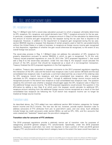# <span id="page-32-0"></span>OFL, SLL, and carryover rules

## <span id="page-32-1"></span>OFL recapture rules

Reg. § 1.904(g)-3 sets forth a seven-step calculation pursuant to which a taxpayer ultimately determines its OFL recapture, SLL recapture, and overall domestic loss ("ODL") recapture amounts for the tax year. In particular, a taxpayer determines its OFL recapture amount in Step 5 of the calculation by determining the amount of income and gain recognized by the taxpayer during the tax year that is required to be recaptured. However, in addition to the requirement to recapture gain recognized during the tax year, section 904(f)(3) requires a taxpayer that disposes of certain property used or held for use predominantly without the United States in a trade or business, to recapture as foreign source income gain recognized on that disposition, regardless of whether the gain would otherwise be recognized, to the extent of any overall foreign loss account.

The seven-step process in Reg. § 1.904(g)-3 does not address the calculation of OFL recapture for property dispositions pursuant to section 904(f)(3) in which no gain is recognized. To fill this void, Treasury issued proposed regulations on June 25, 2012 (the "2012 proposed regulations"), that would add a Step 8 to the seven-step calculation. Under this new Step 8, the taxpayer would calculate the amount of the OFL account that should be recaptured as a result of a non-recognition transaction. Treasury finalized the 2012 proposed regulations in the final regulations.

In addition, Treasury also responded to taxpayer comments to the 2012 proposed regulations regarding the interaction of the OFL rules and the branch loss recapture rules in prior section 367(a)(3) and the dual consolidated loss recapture rules. In particular, a comment observed that, as a result of the ordering rules for OFL recapture, branch loss recapture, and dual consolidated loss recapture, after a taxpayer calculates its OFL recapture amount in Steps 1 through 8, additional foreign source income could be recognized pursuant to the branch loss recapture or dual consolidated loss recapture rules. The question raised by the comment was whether a taxpayer should again apply the OFL recapture rules in Step 5 to the additional foreign source income. The 2019 proposed regulations would answer this question in the affirmative by adding a new Step 9 at which point the taxpayer would calculate its additional OFL recapture amount resulting from the additional foreign source income recognized as a result of the dual consolidated loss recapture (as following the TCJA branch loss recapture income can no longer be treated as foreign source income).

# <span id="page-32-2"></span>Transition rules

As described above, the TJCA added two new additional section 904 limitation categories for foreign branch income and GILTI income. The new law did not, however, provide explicit transition rules to address carryovers of FTC attributes from pre- to post-reform years, and vice versa. Such attributes include foreign tax credit carryovers under section 904(c), as well as OFL, ODL, and SLL accounts that were created and "basketed" based upon the pre-reform categories.

#### <span id="page-32-3"></span>**Transition rules for carryover of FTC attributes**

The 2018 proposed regulations provide a relatively narrow set of transition rules for purposes of categorizing pre-2018 general category FTC carryforwards. Specifically, under the 2018 proposed regulations, taxpayers could elect, but were not required, to treat a portion of their pre-2018 general category FTC carryforwards as foreign branch category taxes to the extent the taxes would have been so

<sup>© 2019</sup> KPMG LLP, a Delaware limited liability partnership and the U.S. member firm of the KPMG network of independent member firms affiliated with KPMG International Cooperative ("KPMG International"), a Swiss entity. All rights reserved. Printed in the U.S.A. The KPMG name and logo are registered trademarks or trademarks of KPMG International.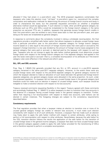allocated if they had arisen in a post-reform year. The 2018 proposed regulations contemplate that taxpayers who make this election must "roll back" to pre-reform years (i.e., reconstruct) the complex computation and reallocation methods for determining the amount of foreign branch income and taxes in order to characterize the taxes, but the preamble requested comments on whether a simplified alternative method would be appropriate. If such election is made, other pre-2018 general category tax attributes such as OFLs and ODLs would be re-basketed to the foreign branch category in the same proportion as carryover FTCs are. In addition, taxpayers that generate excess foreign branch credits in their first post-reform year are entitled to carry those taxes back to their last pre-reform year, and upon doing so the taxes are re-basketed as general category.

In response to comments about the complexity involved in doing a wholesale recomputation, the final regulations provide a simplified safe harbor option that allows taxpayers to allocate unused foreign taxes from a particular pre-reform year to the post-reform separate category for foreign branch category income based on a ratio equal to the amount of foreign income taxes that were paid or accrued by the taxpayer's foreign branches in a tax year divided by the amount of foreign income taxes assigned to the general category that were paid or accrued, or deemed paid by the taxpayer with respect to such tax year. Taxpayers who do not choose to apply the safe harbor method generally must determine unused foreign taxes with respect to the foreign branch category as if the separate category had applied in the year the taxes were paid or accrued—that is, a complete recomputation of its attributes as if the branch category rules were effective in the relevant pre-reform years.

#### <span id="page-33-0"></span>**SLL, OFL and ODL accounts**

Prop. Reg. § 1.904(f)-12(j) generally provided that any SLL or OFL account in a pre-2018 separate category remained in the same post-2017 separate category. However, to the extent there were any unused foreign taxes with respect to the pre-2018 separate category for general category income for which the taxpayer elected to make an allocation of such taxes between the general and foreign branch separate categories, any general category losses were allocated in the same proportion. As such, under this proposed regulation, if a taxpayer did not have any unused foreign taxes in the general category (and therefore could not make such an election in respect of unused foreign taxes), such taxpayer would be ineligible to make a transition election with respect to its loss accounts.

Treasury received comments requesting flexibility in this regard. Treasury agreed with these comments and accordingly finalized Reg. § 1.904(f)-12 to allow taxpayers to elect to transition their loss accounts in the absence of a taxpayer having unused foreign taxes in the general category to transition. Further, rather than requiring a full recomputation with respect to these loss accounts, safe harbors can be elected in certain instances. The foregoing changes are subject to the consistency requirements described below.

#### <span id="page-33-1"></span>**Consistency requirements**

The final regulation provides that when a taxpayer makes an election to transition one or more of its unused general category foreign tax credits or relevant loss accounts, it must make such election consistently with respect to all of such attributes. However, a taxpayer that has made such an election may freely elect to apply the safe harbor method with respect to certain attributes, while opting to perform a full recomputation with respect to other attributes. Nevertheless, because the safe harbor for the ODL transition election follows the results the application of the safe harbor for the transition of unused foreign taxes in the general income category, a taxpayer that does not have unused foreign taxes in the general category appears unable to apply the safe harbor provided for the transitioning of ODLs and is therefore required to perform a complete recomputation.

<sup>© 2019</sup> KPMG LLP, a Delaware limited liability partnership and the U.S. member firm of the KPMG network of independent member firms affiliated with KPMG International Cooperative ("KPMG International"), a Swiss entity. All rights reserved. Printed in the U.S.A. The KPMG name and logo are registered trademarks or trademarks of KPMG International.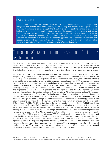The final regulations retain the election to re-basket attributes between general and foreign branch categories and provide even more flexibility by introducing safe harbors with respect to each attribute. In requiring taxpayers to apply the default rule (i.e., the attribute remains in the general basket) or elect to transition such attributes between the general income category and foreign branch category consistently, significant modeling may be required for a taxpayer to determine whether the election is beneficial. Further, once a taxpayer has chosen to make a transition election with respect to such attributes, the ability to apply the safe harbor methods provided with respect to some attributes and not others introduces an additional layer of complexity (albeit taxpayer-favorable) that further complicates the taxpayer's modeling exercise.

# <span id="page-34-0"></span>Translation of foreign income taxes and foreign tax redeterminations

This final section discusses widespread changes enacted with respect to sections 905, 986, and 6689. These rules potentially require the foreign tax credit calculation with respect to a given year to be revisited for many years beyond such year, requiring recalculation of the foreign tax credit and general U.S. federal income tax consequences each time a foreign tax redetermination (as defined below) arises.

On November 7, 2007, the Federal Register published new temporary regulations (T.D. 9362) (the "2007 temporary regulations") at 72 FR 62771. Proposed regulations under sections 905(c) and 986(a) (the "2007 proposed regulations" and together with the 2007 temporary regulations, the "2007 regulations") were published in connection with the 2007 temporary regulations. The 2007 temporary regulations expired in 2010 and the 2007 proposed regulations, while outstanding, did not take into account the revisions to section 905(c) made by the TCJA and the repeal of section 902 foreign tax credit pooling. Treasury has adopted certain portions of the 2007 regulations under sections 905(c) and 986(a) in the final regulations and 2019 proposed regulations. The final regulations and the 2019 proposed regulations provide rules applicable to redeterminations of U.S. tax liability ("U.S. tax redeterminations") that occur because of changes to a U.S. taxpayer's foreign income tax liability or certain other changes that do not involve a change in the foreign income tax liability of the taxpayer but that may nonetheless affect a taxpayer's foreign tax credit ("foreign tax redeterminations"). Specifically, the following portions of the 2007 regulations are finalized: (1) the currency translation rules (which are moved from Reg. § 1.905- 3T(b) to Reg. § 1.986(a)-1), (2) the definition of foreign tax redetermination in Reg. § 1.905-3T(c), (3) the rules under Reg. § 1.905-3T(d)(1) requiring a U.S. tax redetermination with respect to foreign income taxes other than those that are deemed paid under section 960, and (4) the rules in Reg. § 1.905-3T(e) relating to foreign income taxes imposed on foreign income tax refunds. Treasury acknowledged that the number of instances in which a U.S. tax redetermination will be required is likely to increase significantly as a result of the TCJA's amendment of section 905(c) necessitated by the repeal of the pooling method prescribed by former section 902. Therefore, several aspects of the 2007 regulations were not finalized, and instead the 2019 proposed regulations include new proposed regulations on these topics. Specifically, the 2019 proposed regulations include: (1) rules requiring a U.S. tax redetermination with respect to foreign income taxes deemed paid under section 960, (2) procedural aspects of the required notification of the IRS in the case of a foreign tax redetermination, and (3) the related penalty imposed under section 6689 for failing to comply with these notification requirements.

© 2019 KPMG LLP, a Delaware limited liability partnership and the U.S. member firm of the KPMG network of independent member firms affiliated with KPMG International Cooperative ("KPMG International"), a Swiss entity. All rights reserved. Printed in the U.S.A. The KPMG name and logo are registered trademarks or trademarks of KPMG International.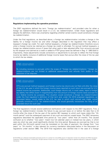## <span id="page-35-0"></span>Regulations under section 905

#### <span id="page-35-1"></span>**Regulations implementing the operative provisions**

The 2007 regulations defined the term "foreign tax redetermination" and provided rules for when a foreign tax redetermination would result in a U.S. tax redetermination. Under those regulations and despite the definition, there was uncertainty regarding whether certain events would constitute a foreign tax redetermination.

Under the final regulations, as described above, a foreign tax redetermination includes a change in the liability for a foreign income tax and other changes described in the regulation that may affect a taxpayer's foreign tax credit. For cash method taxpayers, a foreign tax redetermination therefore occurs when a foreign income tax claimed as a foreign tax credit is refunded. For accrual method taxpayers, a foreign tax redetermination occurs if taxes that when paid or later adjusted differ from amounts accrued by the taxpayer and claimed as a credit or added to PTEP group taxes (as defined in Reg. § 1.960-3(d)(1)). Importantly, these adjustments include corrections or adjustments to accruals to reflect the final foreign income tax liability inclusive of additional foreign income taxes that accrue after the close of the tax year to which the tax relates.

### KPMG observation

By including revisions to accruals within the scope of "foreign tax redeterminations," foreign tax redeterminations are not limited to additional assessments and refunds from audits or the resolution of tax disputes.

# KPMG observation

CFCs are accrual method taxpayers and foreign income tax returns are not filed until after the close of the U.S. tax year in which the foreign income taxes reported on such return are accrued for U.S. federal income tax purposes. Additionally, such foreign returns will, in most cases, report a foreign tax liability that differs (even if insignificantly) from the amount of foreign income taxes accrued for U.S. federal income tax purposes. This situation would constitute a foreign tax redetermination under the final regulation's definition of that term and, under the 2019 proposed regulations, as discussed below, would relate to the U.S. tax year in which such accrual was made, would generally constitute a U.S. tax redetermination, and would generally necessitate the filing of an amended return for such year.

The final regulations include several additional clarifications with respect to the 2007 regulations. First, a foreign tax redetermination includes the failure to pay accrued taxes on or before the date that is 24 months after the close of the tax year of the section 901 taxpayer to which such taxes relate (the "24 month period") and the subsequent payment of any such accrued but unpaid taxes. The 2007 temporary regulations described the applicable time period as "two years" rather than 24 months. This caused confusion as to whether "two years" meant two full calendar years or instead two tax years, in which case any short tax year could significantly shorten the time period. Because any accrued tax that is not paid within the 24-month period must be translated on the date of payment, the change from "two years" to "24 months" is also relevant for currency translation (discussed below in the discussion on regulations under section 986). The 2019 final regulations also clarified that in the case of a foreign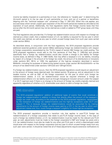income tax liability imposed on a partnership or trust, the reference to "taxable year" in determining the 24-month period is to the tax year of such partnership or trust, and not of a partner or beneficiary (aligning with the "technical taxpayer rule" contained in Reg. § 1.901-2(f)). When this rule applies, any accrued taxes which remain unpaid upon expiration of the 24-month period are treated as refunded at the expiration of such period. Additionally, the final regulations clarify that foreign income taxes that first accrue after the 24-month period may not be claimed as a credit or added to PTEP group taxes until they are paid.

The final regulations also provide that, if a foreign tax redetermination occurs with respect to a foreign tax claimed as a direct credit, then a redetermination of U.S. tax liability is required for the tax year in which the credit was claimed, as well as any year to which unused foreign taxes from such year were carried under section 904(c).

As described above, in conjunction with the final regulations, the 2019 proposed regulations provide additional essential guidance under section 905(c) addressing foreign tax redeterminations with respect to foreign corporations necessitated by the TCJA's repeal of section 902 foreign tax credit pooling. The 2019 proposed regulations would add to the first sentence of final Reg. § 1.905-3(a) and provide specifically that a foreign tax redetermination would also include a change in the liability for foreign income taxes, as defined in Reg. § 1.960-1(b)(5), that may affect a taxpayer's U.S. tax liability, including by reason of a change in the amount of its foreign tax credit, the amount of its distributions or inclusions under sections 951, 951A, or 1293, the application of the high-tax exception described in section 954(b)(4)—including for purposes of determining tested income under section 951A(c)(2)(A)(i)(III)—or the amount of tax determined under sections 1291(c)(2) and 1291(g)(1)(C)(ii).

If a foreign tax redetermination occurs, then the 2019 proposed regulations would require an adjustment to the amount of foreign taxes deemed paid, the related section 78 gross-up, and an adjustment in the taxable income, as well as E&P, of the foreign corporation for the year to which such foreign tax redetermination relates. A U.S. tax redetermination would be required whenever a foreign tax redetermination affects U.S. tax liability (such as through changing an inclusion amount under the subpart F or GILTI regimes) even if there is no change to the amount of foreign tax credits originally claimed and apparently regardless of whether a U.S. shareholder even elects to claim a foreign tax credit.

# KPMG observation

The 2019 proposed regulations' addition of additional types of events that could constitute a foreign tax redetermination in addition to those that directly affect the amount of the taxpayer's foreign tax credit was, according to the preamble to the 2019 proposed regulations, necessitated by the interaction of foreign tax redeterminations and the high-tax exceptions under GILTI and subpart F. This is because foreign tax redeterminations would be accounted for by making adjustments to the amount of foreign income taxes paid by a CFC in the tax year to which such adjustment relates and, thus, could change a taxpayer's eligibility for those high-tax exceptions.

The 2019 proposed regulations provide a transition rule that applies to post-TCJA foreign tax redeterminations of a foreign corporation that relate to pre-TCJA foreign income taxes. In the case of such a foreign tax redetermination, a U.S. tax redetermination must be made for the relevant pre-TCJA year; as well, adjustments must be made to the foreign corporation's E&P and foreign tax pools and a U.S. tax redetermination must also be made for any other pre-TCJA year in which a deemed-paid credit would arise with respect to the foreign corporation and any year to which unused foreign taxes from any such year were carried. It should be noted that all of these adjustments require extensive notifications to

© 2019 KPMG LLP, a Delaware limited liability partnership and the U.S. member firm of the KPMG network of independent member firms affiliated with KPMG International Cooperative ("KPMG International"), a Swiss entity. All rights reserved. Printed in the U.S.A. The KPMG name and logo are registered trademarks or trademarks of KPMG International.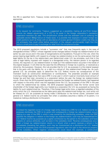the IRS in specified form. Treasury invites comments as to whether any simplified method may be appropriate.

## KPMG observation

In its request for comments, Treasury suggested as a possibility making all pre-TCJA foreign income tax related adjustments of a CFC to its pools in the foreign corporation's mandatory repatriation transition tax year. This simplification comes with the attendant cost of suffering the applicable section 965(g) haircut on these taxes. It is possible that taxpayers in certain foreign tax credit positions (such as those with an abundance of excess general limitation credits that they do not anticipate they could utilize before expiration of the relevant carryforwards) might find this haircut a small price to pay in exchange for relief from the compliance burden.

The 2019 proposed regulations include a "successor rule" that may frequently apply in the case of disregarded entities ("DREs") whose regarded owner changes before a foreign tax redetermination of an earlier tax year occurs and in the case of reorganizations and liquidations. Pursuant to this rule, when the person bearing legal liability with respect to a foreign tax redetermination is not the same person that had legal liability for the tax in the relation-back year (determined under U.S. tax principles, such that in the case of legal liability imposed with respect to a disregarded entity, the relevant person is its regarded owner), the required U.S. tax redetermination is made as if the redetermination occurred in the hands of the original taxpayer. It will often be the case that the difference in foreign tax is paid by, or received as a refund by, the successor. However, this rule provides that for U.S. tax purposes it is the original taxpayer that is the party with the liability for, or a right to a refund of, this redetermined foreign tax. As such, general U.S. tax principles apply to determine the U.S. federal income tax consequences of this mismatch (such as constructive distributions or contributions). The preamble provides an example involving a foreign legal entity that was a DRE in a tax year in which it paid an incorrectly lower amount of foreign tax and then later converted to a corporation before the year the foreign tax redetermination occurs. Given that the 2019 proposed regulations suppose the foreign tax redetermination had happened with respect to the entity which was the regarded owner (for U.S. tax purposes) of the DRE in the year to which the redetermined tax relates, the 2019 proposed regulations treat the former owner (and shareholder of the foreign legal entity now treated as a corporation (for U.S. tax purposes)) as having the liability for such redetermined tax. Therefore, if the foreign legal entity (now, a regarded subsidiary of the entity which the U.S. characterizes as the liable party) pays the redetermined foreign tax, such entity will be treated for U.S. tax purposes as having made a distribution to the former owner, consistent with general U.S. federal income tax principles that when a subsidiary assumes a liability of its parent, it is treated as making a distribution to the parent.

# KPMG observation

If instead the regarded owner of a foreign legal entity treated as a DRE for U.S. federal income tax purposes distributes the DRE to its parent and subsequently a foreign tax redetermination occurs relating to a year of the DRE in which it was owned by the distributing subsidiary, when the DRE satisfies the obligation in relation to the foreign tax redetermination, such may be characterized for U.S. federal income tax purposes as a capital contribution by the parent to the subsidiary and have impacts on various attributes, such as basis in the subsidiary stock. Reverse consequences occur when a foreign tax redetermination results in a refund; when a parent receives a refund in the immediately preceding fact pattern, such may be characterized as a distribution for U.S. federal income tax purposes since the 2019 proposed regulations view the right to the refund as property of the subsidiary. When negative consequences could result (for example, a constructive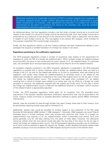distribution resulting in an undesirable movement of PTEP in a certain category from a subsidiary to its parent), taxpayers should consider whether appropriate planning can be implemented to avoid these consequences. For example, under appropriate circumstances, it is possible that a binding commitment by the parent to contribute the refund to the subsidiary may avoid the dividend characterization otherwise suggested above.

As referenced above, the final regulations include a rule that when a foreign income tax is incurred with respect to the receipt of a refund of a foreign income tax previously paid, such new foreign income tax is accounted for as a reduction of the amount of the refund and no other credit or deduction may be taken in respect of such foreign income tax. This rule applies to any section 901 taxpayer, which includes for this purpose a specified 10%-owned foreign corporation.

Finally, the final regulations restore a rule that Treasury believes had been inadvertently deleted in prior packages that requires a certified translation of a foreign tax receipt or tax return.

#### <span id="page-38-0"></span>**Regulations pertaining to the notification requirement**

The 2019 proposed regulations contain a number of procedural rules relating to the requirement for taxpayers to notify the IRS of a foreign tax redetermination. When multiple foreign tax redeterminations occurring within the same or two consecutive tax years require a U.S. tax redetermination of a particular year, one amended return and accompanying statement can be filed for all of the redeterminations.

An exception originally contained in the 2007 temporary regulations is expanded in the 2019 proposed regulations to provide that in certain instances when a foreign tax redetermination does not lead to a change in the U.S. tax due for the related year (either on its own or considered, when permitted by the regulation, with certain other foreign tax redeterminations) an amended return is not related for the related year provided an statement is attached to the timely filed original return for the tax year in which the foreign tax redetermination occurs. This exception may apply when increased U.S. tax liability resulting from a refund of foreign taxes related to an earlier year may be offset by a foreign tax credit carryback or carryover, the statement required with the original and timely return for the year in which the foreign tax redetermination occurs is filed and the additional carryover or carryback used on account of the redetermination is appropriately adjusted.

Further, the 2019 proposed regulations would allow for an exception from the amended return requirement if the taxpayer satisfies alternative notification requirements that may be prescribed in the future. Treasury invites comments on possible alternative methods to satisfy section 905(c) notification requirements.

Specific rules are provided for pass-through entities that report foreign taxes paid to their owners, such as partnerships reporting foreign taxes paid on Schedule K-1s.

Additionally, special rules would be provided for entities subject to the jurisdiction of the IRS Large Business & International (LB&I) division ("LB&I taxpayers"). Generally, LB&I taxpayers can avoid filing an amended return in limited instances when they provide their examiner with notice of a foreign tax redetermination that requires a U.S. tax redetermination within a prescribed time period. Such time period generally runs for 120 days starting from the latest of three dates. However, this alternative cannot be utilized when the time period would start after the due date of the return for the tax year in which the foreign tax redetermination occurs. The 2019 proposed regulations provide a list of conditions, all of which must be satisfied to apply this special rule. Notably, certain detailed information signed under penalties of perjury must be provided by the LB&I taxpayer during the course of the relevant exam.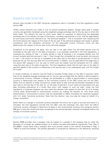# <span id="page-39-0"></span>Regulations under section 986

Several rules included in the 2007 temporary regulations were in included in the final regulations under section 986.

Unless certain elections are made or one of several exceptions applies, foreign taxes paid in foreign currency are generally translated using the weighted average exchange rate for the tax year to which the taxes relate. The relevant tax year to which taxes relate for purposes of determining the applicable exchange rate is the relevant tax year of the person, including a partnership or trust, that has legal liability for such taxes (commonly referred to as "the technical taxpayer"). This is consistent with measuring the 24-month period with respect to the close of the tax year of the technical taxpayer and results in greater consistency with the translation convention for the associated income inclusions which are also determined with respect to the tax year of the technical taxpayer.

Exceptions to the general rule apply. Any tax that is not paid within the 24-month period must be translated at the spot rate on the date of payment. In an example contained in the final regulations, a contested tax relating to Year 1 is finally settled in Year 6 resulting in an increased liability over the amount actually paid and accrued in Year 1. Even though that contested tax must be taken into account in Year 1, the amount of the tax is translated at the spot rate on the date of actual payment in Year 6 because this tax first accrues after the 24- month period. In addition, any tax paid before the beginning of the section 901 taxpayer's U.S. tax year to which such tax relates must be translated into U.S. dollars using the spot rate on the date of payment. The final regulations clarify that the spot rate on the date of payment applies if the currency is inflationary in the accrual year or any subsequent year until the foreign tax is paid.

In certain instances, an election may be made to translate foreign taxes on the date of payment rather than at the weighted average exchange rate for the tax year provided that the liability is denominated in nonfunctional currency. Whether a foreign tax attributable to a QBU is denominated in nonfunctional currency is determined with respect to the functional currency of the QBU owner and not the QBU. When such an election is made, accrued but unpaid taxes at year end are provisionally translated at the spot rate on the last day of the year (or, on the date of payment, if such taxes are paid before the due date (including extensions) of a timely filed return with respect to such tax year). Under the final regulations, a corporate taxpayer can now make this election with respect to less than all of its foreign income taxes denominated in nonfunctional currency by making the election for only those taxes denominated in nonfunctional currency that are attributable to QBUs (including the corporate taxpayer) with U.S. dollar functional currencies. Note that this election may now also be made on behalf of a foreign corporation.

When there is a change in functional currency between the time a tax is paid or accrued and when it is refunded, the final regulations provide that the QBU uses the exchange rate used when the QBU's functional currency changed to determine its basis in the nonfunctional currency and recognize section 988 gain or loss that would have been recognized if the refund had been received immediately before the change in functional currency.

### <span id="page-39-1"></span>Regulation under section 6689

Section 6689 provides that a taxpayer may be subject to a penalty if the taxpayer fails to notify the Secretary of a foreign tax redetermination on or before the date prescribed by regulations. Prop. Reg. § 301.6689-1 would clarify that a taxpayer also must provide notice in the manner prescribed in Reg. § 1.905-4 to avoid the penalty. The penalty generally is computed by reference to the deficiency resulting

<sup>© 2019</sup> KPMG LLP, a Delaware limited liability partnership and the U.S. member firm of the KPMG network of independent member firms affiliated with KPMG International Cooperative ("KPMG International"), a Swiss entity. All rights reserved. Printed in the U.S.A. The KPMG name and logo are registered trademarks or trademarks of KPMG International.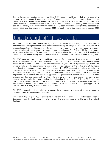from a foreign tax redetermination. Prop. Reg. § 301.6689-1 would clarify that in the case of a partnership, which generally does not have a deficiency, the amount of the penalty is determined by reference to the imputed underpayment, as described in section 6225. Prop. Reg. § 301.6689-1 also would eliminate the statement in existing Reg. § 301.6689-1T(b) that if the penalty under section 6689 applies, the penalty under section 6653(a) does not apply, because section 6653(a) is the predecessor to section 6662, and the penalty under section 6662 can apply even if the penalty under section 6689 applies.

# <span id="page-40-0"></span>Updates to consolidated foreign tax credit rules

Prop. Reg. § 1.1502-4 would amend the regulations under section 1502 relating to the computation of the consolidated foreign tax credit. For purposes of determining the foreign tax credit limitation, the 2019 proposed regulations would provide that the amount of foreign source income in each separate category is the consolidated taxable income of the group (determined under Reg. § 1.1502-11) in that category, with certain adjustments. Existing Reg. § 1.1502-4 determines the foreign tax credit limitation by reference to the aggregate separate taxable incomes from foreign sources of the members of the group.

The 2019 proposed regulations also would add new rules for purposes of determining the source and separate category of a consolidated net operating loss ("CNOL"), which generally would be determined based on the excess SLLs and U.S. source loss for the tax year. The 2019 proposed regulations also would provide rules for determining the source and separate category of the portion of a CNOL that is apportioned to a separate return year of a member. The 2019 proposed regulations generally are intended to categorize a CNOL that is apportioned to a separate return year in a way that is linked to the source and separate category of income that is produced by the member's assets. The 2019 proposed regulations would achieve this result by apportioning a proportionate amount of the CNOL in each grouping based on a comparison of the value of the member's assets in that grouping to the value of the group's total assets in the grouping, using the methodology in existing Reg. § 1.1502-9(c)(2), then by making adjustments to ensure that the amount of the CNOL apportioned to the separate return year of the member is equal to the amount of CNOL attributable to the member. The principles applicable to CNOLs also would apply to consolidated net capital losses.

The 2019 proposed regulations also would update the regulations to remove references to obsolete provisions, such as the per-country limitation.

The rules in Prop. Reg. § 1.1502-4 apply to tax years for which the original consolidated federal income tax return is due (without extensions) after the date the proposed rules are published in the Federal Register.